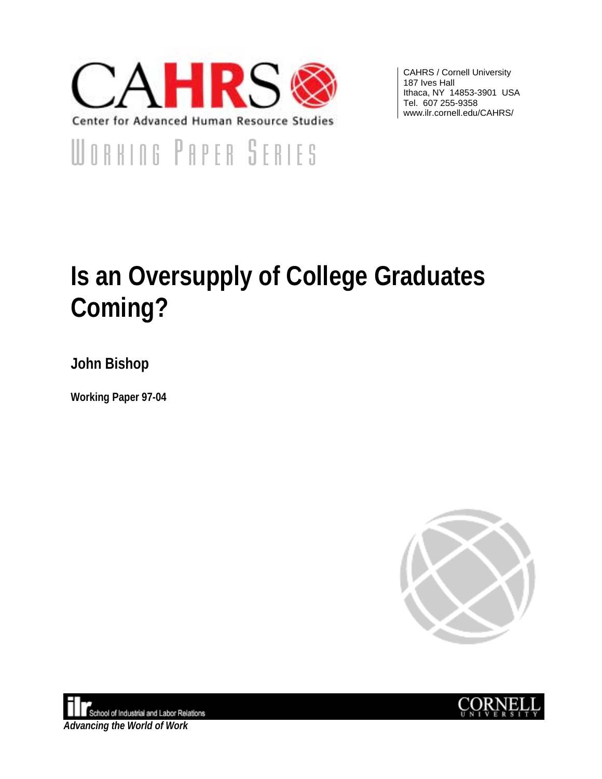

CAHRS / Cornell University 187 Ives Hall Ithaca, NY 14853-3901 USA Tel. 607 255-9358 www.ilr.cornell.edu/CAHRS/

# **Is an Oversupply of College Graduates Coming?**

**John Bishop** 

**Working Paper 97-04** 



School of Industrial and Labor Relations *Advancing the World of Work*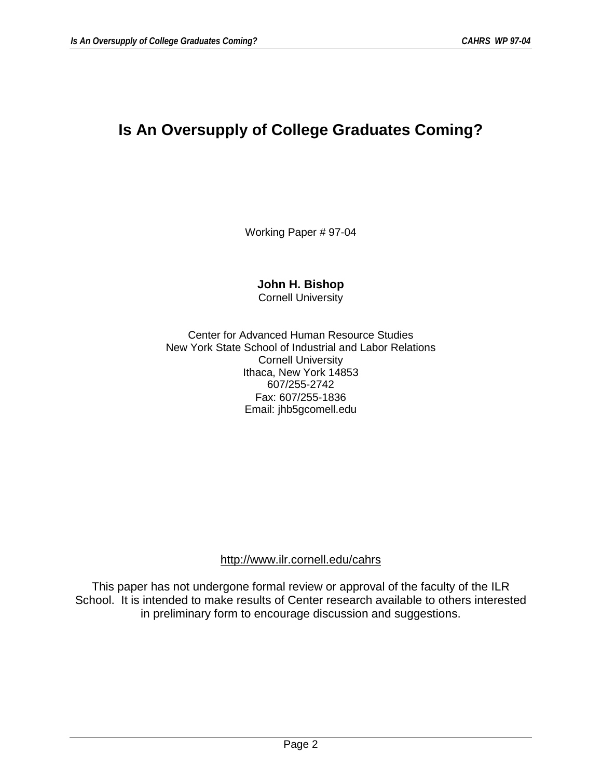## **Is An Oversupply of College Graduates Coming?**

Working Paper # 97-04

**John H. Bishop** Cornell University

Center for Advanced Human Resource Studies New York State School of Industrial and Labor Relations Cornell University Ithaca, New York 14853 607/255-2742 Fax: 607/255-1836 Email: jhb5gcomell.edu

#### http://www.ilr.cornell.edu/cahrs

This paper has not undergone formal review or approval of the faculty of the ILR School. It is intended to make results of Center research available to others interested in preliminary form to encourage discussion and suggestions.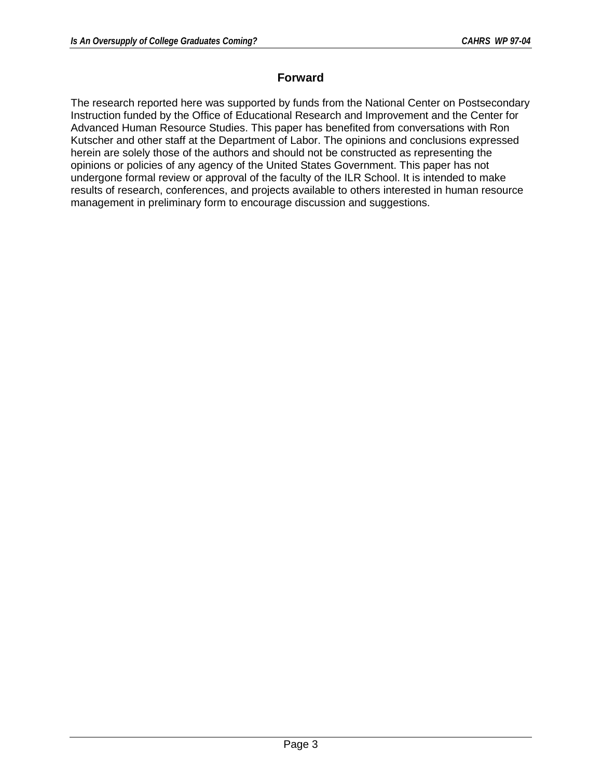### **Forward**

The research reported here was supported by funds from the National Center on Postsecondary Instruction funded by the Office of Educational Research and Improvement and the Center for Advanced Human Resource Studies. This paper has benefited from conversations with Ron Kutscher and other staff at the Department of Labor. The opinions and conclusions expressed herein are solely those of the authors and should not be constructed as representing the opinions or policies of any agency of the United States Government. This paper has not undergone formal review or approval of the faculty of the ILR School. It is intended to make results of research, conferences, and projects available to others interested in human resource management in preliminary form to encourage discussion and suggestions.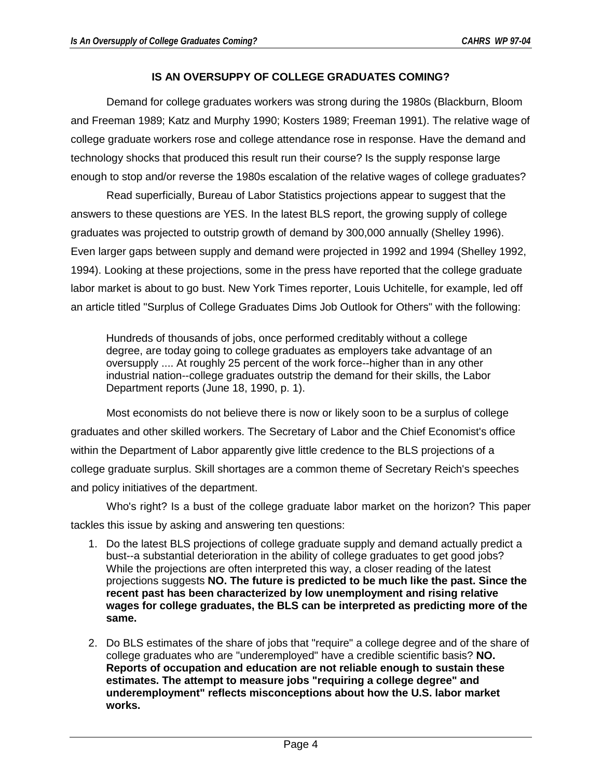#### **IS AN OVERSUPPY OF COLLEGE GRADUATES COMING?**

Demand for college graduates workers was strong during the 1980s (Blackburn, Bloom and Freeman 1989; Katz and Murphy 1990; Kosters 1989; Freeman 1991). The relative wage of college graduate workers rose and college attendance rose in response. Have the demand and technology shocks that produced this result run their course? Is the supply response large enough to stop and/or reverse the 1980s escalation of the relative wages of college graduates?

Read superficially, Bureau of Labor Statistics projections appear to suggest that the answers to these questions are YES. In the latest BLS report, the growing supply of college graduates was projected to outstrip growth of demand by 300,000 annually (Shelley 1996). Even larger gaps between supply and demand were projected in 1992 and 1994 (Shelley 1992, 1994). Looking at these projections, some in the press have reported that the college graduate labor market is about to go bust. New York Times reporter, Louis Uchitelle, for example, led off an article titled "Surplus of College Graduates Dims Job Outlook for Others" with the following:

Hundreds of thousands of jobs, once performed creditably without a college degree, are today going to college graduates as employers take advantage of an oversupply .... At roughly 25 percent of the work force--higher than in any other industrial nation--college graduates outstrip the demand for their skills, the Labor Department reports (June 18, 1990, p. 1).

Most economists do not believe there is now or likely soon to be a surplus of college graduates and other skilled workers. The Secretary of Labor and the Chief Economist's office within the Department of Labor apparently give little credence to the BLS projections of a college graduate surplus. Skill shortages are a common theme of Secretary Reich's speeches and policy initiatives of the department.

Who's right? Is a bust of the college graduate labor market on the horizon? This paper tackles this issue by asking and answering ten questions:

- 1. Do the latest BLS projections of college graduate supply and demand actually predict a bust--a substantial deterioration in the ability of college graduates to get good jobs? While the projections are often interpreted this way, a closer reading of the latest projections suggests **NO. The future is predicted to be much like the past. Since the recent past has been characterized by low unemployment and rising relative wages for college graduates, the BLS can be interpreted as predicting more of the same.**
- 2. Do BLS estimates of the share of jobs that "require" a college degree and of the share of college graduates who are "underemployed" have a credible scientific basis? **NO. Reports of occupation and education are not reliable enough to sustain these estimates. The attempt to measure jobs "requiring a college degree" and underemployment" reflects misconceptions about how the U.S. labor market works.**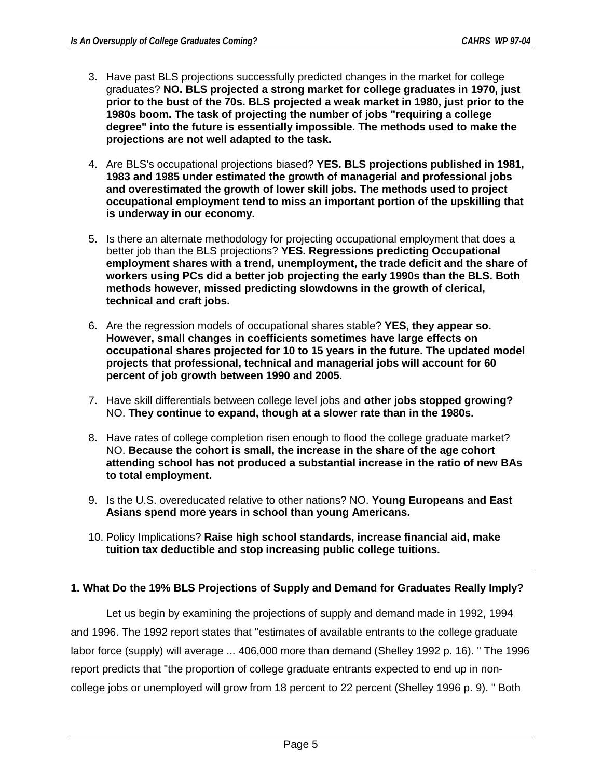- 3. Have past BLS projections successfully predicted changes in the market for college graduates? **NO. BLS projected a strong market for college graduates in 1970, just prior to the bust of the 70s. BLS projected a weak market in 1980, just prior to the 1980s boom. The task of projecting the number of jobs "requiring a college degree" into the future is essentially impossible. The methods used to make the projections are not well adapted to the task.**
- 4. Are BLS's occupational projections biased? **YES. BLS projections published in 1981, 1983 and 1985 under estimated the growth of managerial and professional jobs and overestimated the growth of lower skill jobs. The methods used to project occupational employment tend to miss an important portion of the upskilling that is underway in our economy.**
- 5. Is there an alternate methodology for projecting occupational employment that does a better job than the BLS projections? **YES. Regressions predicting Occupational employment shares with a trend, unemployment, the trade deficit and the share of workers using PCs did a better job projecting the early 1990s than the BLS. Both methods however, missed predicting slowdowns in the growth of clerical, technical and craft jobs.**
- 6. Are the regression models of occupational shares stable? **YES, they appear so. However, small changes in coefficients sometimes have large effects on occupational shares projected for 10 to 15 years in the future. The updated model projects that professional, technical and managerial jobs will account for 60 percent of job growth between 1990 and 2005.**
- 7. Have skill differentials between college level jobs and **other jobs stopped growing?**  NO. **They continue to expand, though at a slower rate than in the 1980s.**
- 8. Have rates of college completion risen enough to flood the college graduate market? NO. **Because the cohort is small, the increase in the share of the age cohort attending school has not produced a substantial increase in the ratio of new BAs to total employment.**
- 9. Is the U.S. overeducated relative to other nations? NO. **Young Europeans and East Asians spend more years in school than young Americans.**
- 10. Policy Implications? **Raise high school standards, increase financial aid, make tuition tax deductible and stop increasing public college tuitions.**

#### **1. What Do the 19% BLS Projections of Supply and Demand for Graduates Really Imply?**

Let us begin by examining the projections of supply and demand made in 1992, 1994 and 1996. The 1992 report states that "estimates of available entrants to the college graduate labor force (supply) will average ... 406,000 more than demand (Shelley 1992 p. 16). " The 1996 report predicts that "the proportion of college graduate entrants expected to end up in noncollege jobs or unemployed will grow from 18 percent to 22 percent (Shelley 1996 p. 9). " Both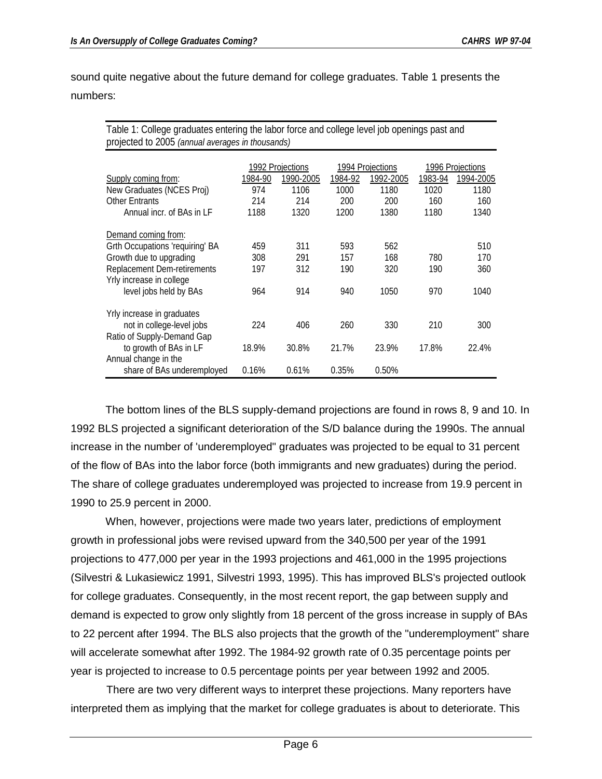sound quite negative about the future demand for college graduates. Table 1 presents the numbers:

Table 1: College graduates entering the labor force and college level job openings past and projected to 2005 *(annual averages in thousands)*

|                                        | 1992 Projections |           |         | 1994 Projections | 1996 Projections |           |
|----------------------------------------|------------------|-----------|---------|------------------|------------------|-----------|
| Supply coming from:                    | 1984-90          | 1990-2005 | 1984-92 | 1992-2005        | 1983-94          | 1994-2005 |
| New Graduates (NCES Proj)              | 974              | 1106      | 1000    | 1180             | 1020             | 1180      |
| Other Entrants                         | 214              | 214       | 200     | 200              | 160              | 160       |
| Annual incr. of BAs in LF              | 1188             | 1320      | 1200    | 1380             | 1180             | 1340      |
| Demand coming from:                    |                  |           |         |                  |                  |           |
| <b>Grth Occupations 'requiring' BA</b> | 459              | 311       | 593     | 562              |                  | 510       |
| Growth due to upgrading                | 308              | 291       | 157     | 168              | 780              | 170       |
| <b>Replacement Dem-retirements</b>     | 197              | 312       | 190     | 320              | 190              | 360       |
| Yrly increase in college               |                  |           |         |                  |                  |           |
| level jobs held by BAs                 | 964              | 914       | 940     | 1050             | 970              | 1040      |
| Yrly increase in graduates             |                  |           |         |                  |                  |           |
| not in college-level jobs              | 224              | 406       | 260     | 330              | 210              | 300       |
| Ratio of Supply-Demand Gap             |                  |           |         |                  |                  |           |
| to growth of BAs in LF                 | 18.9%            | 30.8%     | 21.7%   | 23.9%            | 17.8%            | 22.4%     |
| Annual change in the                   |                  |           |         |                  |                  |           |
| share of BAs underemployed             | 0.16%            | 0.61%     | 0.35%   | 0.50%            |                  |           |

The bottom lines of the BLS supply-demand projections are found in rows 8, 9 and 10. In 1992 BLS projected a significant deterioration of the S/D balance during the 1990s. The annual increase in the number of 'underemployed" graduates was projected to be equal to 31 percent of the flow of BAs into the labor force (both immigrants and new graduates) during the period. The share of college graduates underemployed was projected to increase from 19.9 percent in 1990 to 25.9 percent in 2000.

When, however, projections were made two years later, predictions of employment growth in professional jobs were revised upward from the 340,500 per year of the 1991 projections to 477,000 per year in the 1993 projections and 461,000 in the 1995 projections (Silvestri & Lukasiewicz 1991, Silvestri 1993, 1995). This has improved BLS's projected outlook for college graduates. Consequently, in the most recent report, the gap between supply and demand is expected to grow only slightly from 18 percent of the gross increase in supply of BAs to 22 percent after 1994. The BLS also projects that the growth of the "underemployment" share will accelerate somewhat after 1992. The 1984-92 growth rate of 0.35 percentage points per year is projected to increase to 0.5 percentage points per year between 1992 and 2005.

There are two very different ways to interpret these projections. Many reporters have interpreted them as implying that the market for college graduates is about to deteriorate. This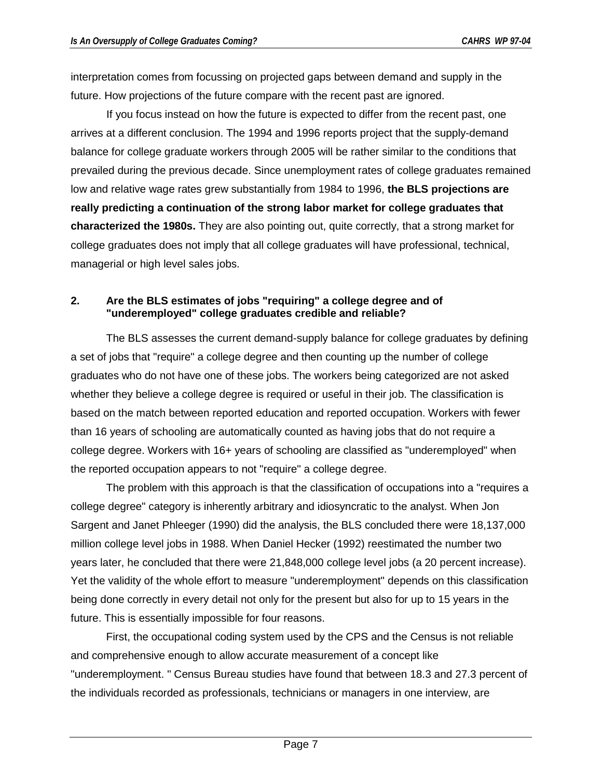interpretation comes from focussing on projected gaps between demand and supply in the future. How projections of the future compare with the recent past are ignored.

If you focus instead on how the future is expected to differ from the recent past, one arrives at a different conclusion. The 1994 and 1996 reports project that the supply-demand balance for college graduate workers through 2005 will be rather similar to the conditions that prevailed during the previous decade. Since unemployment rates of college graduates remained low and relative wage rates grew substantially from 1984 to 1996, **the BLS projections are really predicting a continuation of the strong labor market for college graduates that characterized the 1980s.** They are also pointing out, quite correctly, that a strong market for college graduates does not imply that all college graduates will have professional, technical, managerial or high level sales jobs.

#### **2. Are the BLS estimates of jobs "requiring" a college degree and of "underemployed" college graduates credible and reliable?**

The BLS assesses the current demand-supply balance for college graduates by defining a set of jobs that "require" a college degree and then counting up the number of college graduates who do not have one of these jobs. The workers being categorized are not asked whether they believe a college degree is required or useful in their job. The classification is based on the match between reported education and reported occupation. Workers with fewer than 16 years of schooling are automatically counted as having jobs that do not require a college degree. Workers with 16+ years of schooling are classified as "underemployed" when the reported occupation appears to not "require" a college degree.

The problem with this approach is that the classification of occupations into a "requires a college degree" category is inherently arbitrary and idiosyncratic to the analyst. When Jon Sargent and Janet Phleeger (1990) did the analysis, the BLS concluded there were 18,137,000 million college level jobs in 1988. When Daniel Hecker (1992) reestimated the number two years later, he concluded that there were 21,848,000 college level jobs (a 20 percent increase). Yet the validity of the whole effort to measure "underemployment" depends on this classification being done correctly in every detail not only for the present but also for up to 15 years in the future. This is essentially impossible for four reasons.

First, the occupational coding system used by the CPS and the Census is not reliable and comprehensive enough to allow accurate measurement of a concept like "underemployment. " Census Bureau studies have found that between 18.3 and 27.3 percent of the individuals recorded as professionals, technicians or managers in one interview, are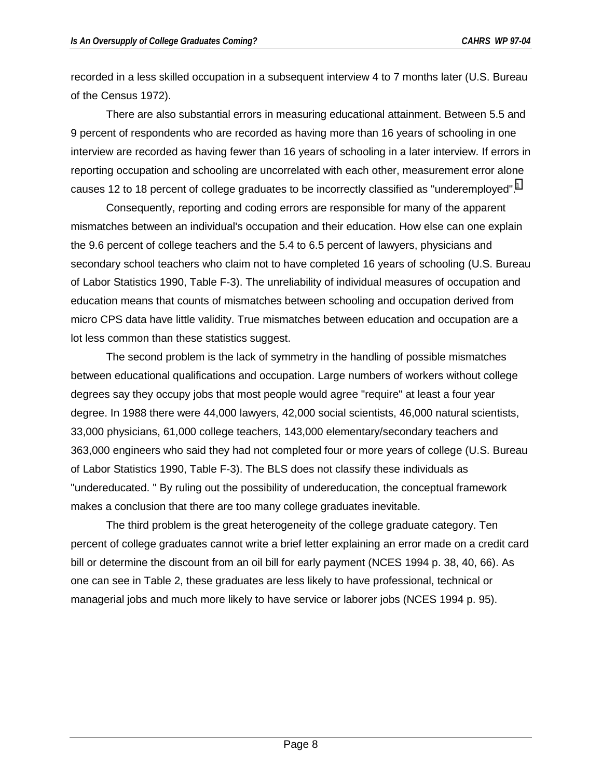recorded in a less skilled occupation in a subsequent interview 4 to 7 months later (U.S. Bureau of the Census 1972).

There are also substantial errors in measuring educational attainment. Between 5.5 and 9 percent of respondents who are recorded as having more than 16 years of schooling in one interview are recorded as having fewer than 16 years of schooling in a later interview. If errors in reporting occupation and schooling are uncorrelated with each other, measurement error alone causes 12 to 18 percent of college graduates to be incorrectly classified as "underemployed".<sup>1</sup>

Consequently, reporting and coding errors are responsible for many of the apparent mismatches between an individual's occupation and their education. How else can one explain the 9.6 percent of college teachers and the 5.4 to 6.5 percent of lawyers, physicians and secondary school teachers who claim not to have completed 16 years of schooling (U.S. Bureau of Labor Statistics 1990, Table F-3). The unreliability of individual measures of occupation and education means that counts of mismatches between schooling and occupation derived from micro CPS data have little validity. True mismatches between education and occupation are a lot less common than these statistics suggest.

The second problem is the lack of symmetry in the handling of possible mismatches between educational qualifications and occupation. Large numbers of workers without college degrees say they occupy jobs that most people would agree "require" at least a four year degree. In 1988 there were 44,000 lawyers, 42,000 social scientists, 46,000 natural scientists, 33,000 physicians, 61,000 college teachers, 143,000 elementary/secondary teachers and 363,000 engineers who said they had not completed four or more years of college (U.S. Bureau of Labor Statistics 1990, Table F-3). The BLS does not classify these individuals as "undereducated. " By ruling out the possibility of undereducation, the conceptual framework makes a conclusion that there are too many college graduates inevitable.

The third problem is the great heterogeneity of the college graduate category. Ten percent of college graduates cannot write a brief letter explaining an error made on a credit card bill or determine the discount from an oil bill for early payment (NCES 1994 p. 38, 40, 66). As one can see in Table 2, these graduates are less likely to have professional, technical or managerial jobs and much more likely to have service or laborer jobs (NCES 1994 p. 95).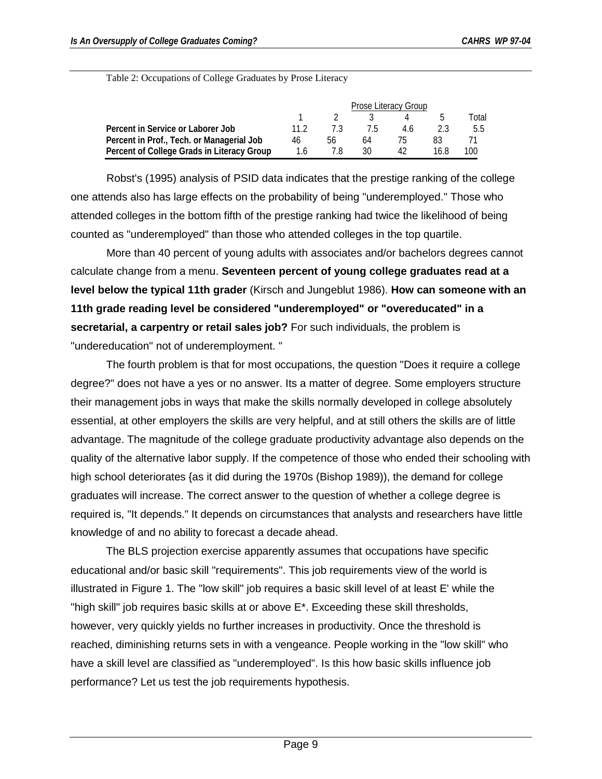Table 2: Occupations of College Graduates by Prose Literacy

|                                            | Prose Literacy Group |    |                |     |      |               |  |
|--------------------------------------------|----------------------|----|----------------|-----|------|---------------|--|
|                                            |                      |    |                |     |      | Total         |  |
| Percent in Service or Laborer Job          | 11 2                 | 73 | 1 <sub>h</sub> | 4.6 |      | $5.5^{\circ}$ |  |
| Percent in Prof., Tech. or Managerial Job  | 46                   | 56 | 64             |     |      |               |  |
| Percent of College Grads in Literacy Group | 1.6                  |    | 30             |     | 16.8 | 100           |  |

Robst's (1995) analysis of PSID data indicates that the prestige ranking of the college one attends also has large effects on the probability of being "underemployed." Those who attended colleges in the bottom fifth of the prestige ranking had twice the likelihood of being counted as "underemployed" than those who attended colleges in the top quartile.

More than 40 percent of young adults with associates and/or bachelors degrees cannot calculate change from a menu. **Seventeen percent of young college graduates read at a level below the typical 11th grader** (Kirsch and Jungeblut 1986). **How can someone with an 11th grade reading level be considered "underemployed" or "overeducated" in a secretarial, a carpentry or retail sales job?** For such individuals, the problem is "undereducation" not of underemployment. "

The fourth problem is that for most occupations, the question "Does it require a college degree?" does not have a yes or no answer. Its a matter of degree. Some employers structure their management jobs in ways that make the skills normally developed in college absolutely essential, at other employers the skills are very helpful, and at still others the skills are of little advantage. The magnitude of the college graduate productivity advantage also depends on the quality of the alternative labor supply. If the competence of those who ended their schooling with high school deteriorates {as it did during the 1970s (Bishop 1989)), the demand for college graduates will increase. The correct answer to the question of whether a college degree is required is, "It depends." It depends on circumstances that analysts and researchers have little knowledge of and no ability to forecast a decade ahead.

The BLS projection exercise apparently assumes that occupations have specific educational and/or basic skill "requirements". This job requirements view of the world is illustrated in Figure 1. The "low skill" job requires a basic skill level of at least E' while the "high skill" job requires basic skills at or above E\*. Exceeding these skill thresholds, however, very quickly yields no further increases in productivity. Once the threshold is reached, diminishing returns sets in with a vengeance. People working in the "low skill" who have a skill level are classified as "underemployed". Is this how basic skills influence job performance? Let us test the job requirements hypothesis.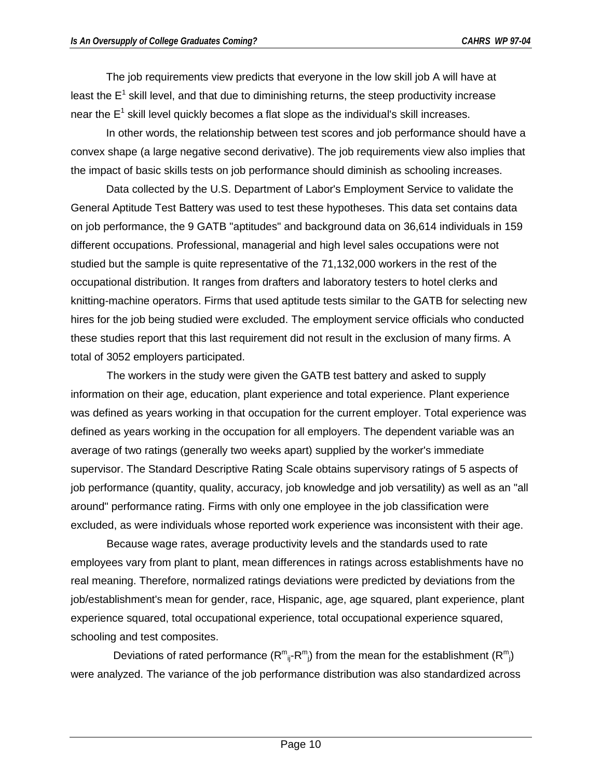The job requirements view predicts that everyone in the low skill job A will have at least the  $E^1$  skill level, and that due to diminishing returns, the steep productivity increase near the  $E^1$  skill level quickly becomes a flat slope as the individual's skill increases.

In other words, the relationship between test scores and job performance should have a convex shape (a large negative second derivative). The job requirements view also implies that the impact of basic skills tests on job performance should diminish as schooling increases.

Data collected by the U.S. Department of Labor's Employment Service to validate the General Aptitude Test Battery was used to test these hypotheses. This data set contains data on job performance, the 9 GATB "aptitudes" and background data on 36,614 individuals in 159 different occupations. Professional, managerial and high level sales occupations were not studied but the sample is quite representative of the 71,132,000 workers in the rest of the occupational distribution. It ranges from drafters and laboratory testers to hotel clerks and knitting-machine operators. Firms that used aptitude tests similar to the GATB for selecting new hires for the job being studied were excluded. The employment service officials who conducted these studies report that this last requirement did not result in the exclusion of many firms. A total of 3052 employers participated.

The workers in the study were given the GATB test battery and asked to supply information on their age, education, plant experience and total experience. Plant experience was defined as years working in that occupation for the current employer. Total experience was defined as years working in the occupation for all employers. The dependent variable was an average of two ratings (generally two weeks apart) supplied by the worker's immediate supervisor. The Standard Descriptive Rating Scale obtains supervisory ratings of 5 aspects of job performance (quantity, quality, accuracy, job knowledge and job versatility) as well as an "all around" performance rating. Firms with only one employee in the job classification were excluded, as were individuals whose reported work experience was inconsistent with their age.

Because wage rates, average productivity levels and the standards used to rate employees vary from plant to plant, mean differences in ratings across establishments have no real meaning. Therefore, normalized ratings deviations were predicted by deviations from the job/establishment's mean for gender, race, Hispanic, age, age squared, plant experience, plant experience squared, total occupational experience, total occupational experience squared, schooling and test composites.

Deviations of rated performance  $(R^m{}_{ij} - R^m{}_{j})$  from the mean for the establishment  $(R^m{}_{j})$ were analyzed. The variance of the job performance distribution was also standardized across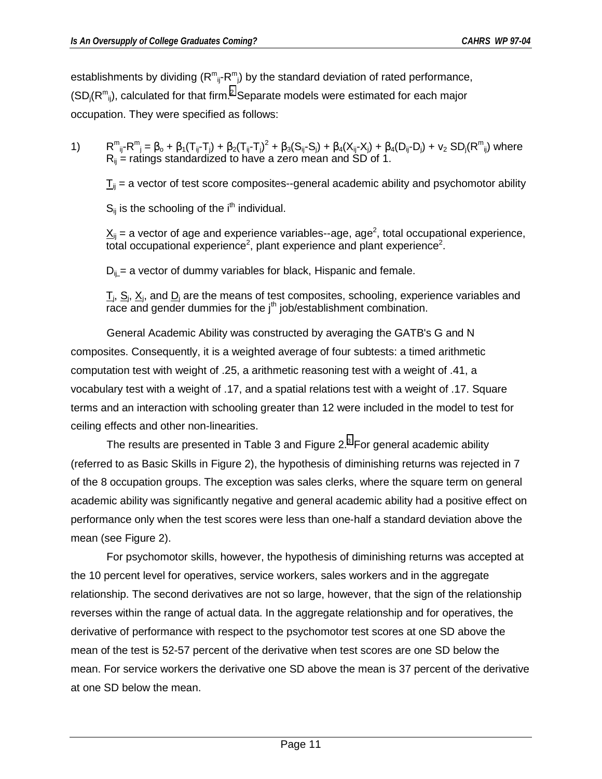establishments by dividing  $(R^m{}_{ij} - R^m{}_{j})$  by the standard deviation of rated performance,  $(SD_j(R^m_{ij})$ , calculated for that firm.<sup>2</sup> Separate models were estimated for each major occupation. They were specified as follows:

1)  $R_{ij}^m - R_{ij}^m = \beta_0 + \beta_1 (T_{ij} - T_{ij}) + \beta_2 (T_{ij} - T_{ij})^2 + \beta_3 (S_{ij} - S_{ij}) + \beta_4 (X_{ij} - X_{ij}) + \beta_4 (D_{ij} - D_{ij}) + v_2 SD_j (R_{ij}^m)$  where  $R_{ij}$  = ratings standardized to have a zero mean and SD of 1.

 $T_{ij}$  = a vector of test score composites--general academic ability and psychomotor ability

 $S_{ii}$  is the schooling of the  $i<sup>th</sup>$  individual.

 $\frac{X_{ij}}{X}$  = a vector of age and experience variables--age, age<sup>2</sup>, total occupational experience,  $\overline{\text{total}}$  occupational experience<sup>2</sup>, plant experience and plant experience<sup>2</sup>.

 $D_{ii}$  = a vector of dummy variables for black, Hispanic and female.

 $T_i$ ,  $S_i$ ,  $X_i$ , and  $D_i$  are the means of test composites, schooling, experience variables and race and gender dummies for the  $j<sup>th</sup>$  job/establishment combination.

General Academic Ability was constructed by averaging the GATB's G and N composites. Consequently, it is a weighted average of four subtests: a timed arithmetic computation test with weight of .25, a arithmetic reasoning test with a weight of .41, a vocabulary test with a weight of .17, and a spatial relations test with a weight of .17. Square terms and an interaction with schooling greater than 12 were included in the model to test for ceiling effects and other non-linearities.

The results are presented in Table 3 and Figure 2. $3$  For general academic ability (referred to as Basic Skills in Figure 2), the hypothesis of diminishing returns was rejected in 7 of the 8 occupation groups. The exception was sales clerks, where the square term on general academic ability was significantly negative and general academic ability had a positive effect on performance only when the test scores were less than one-half a standard deviation above the mean (see Figure 2).

For psychomotor skills, however, the hypothesis of diminishing returns was accepted at the 10 percent level for operatives, service workers, sales workers and in the aggregate relationship. The second derivatives are not so large, however, that the sign of the relationship reverses within the range of actual data. In the aggregate relationship and for operatives, the derivative of performance with respect to the psychomotor test scores at one SD above the mean of the test is 52-57 percent of the derivative when test scores are one SD below the mean. For service workers the derivative one SD above the mean is 37 percent of the derivative at one SD below the mean.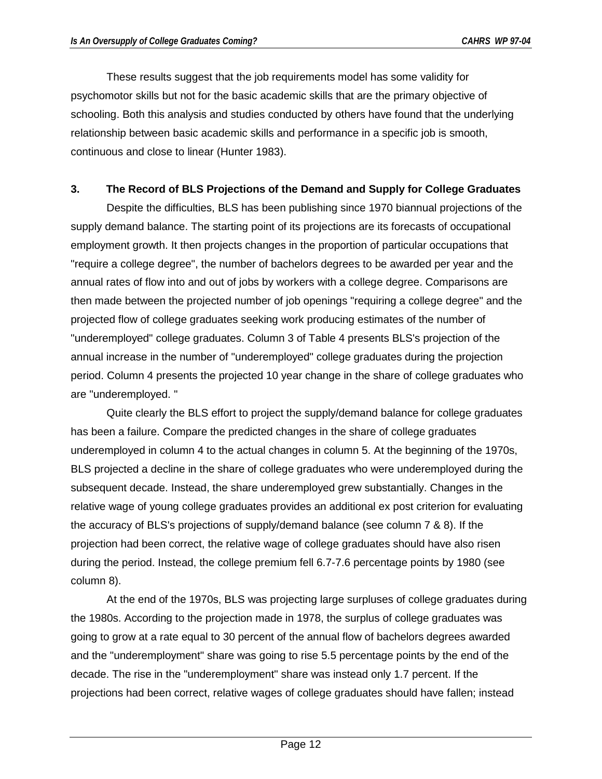These results suggest that the job requirements model has some validity for psychomotor skills but not for the basic academic skills that are the primary objective of schooling. Both this analysis and studies conducted by others have found that the underlying relationship between basic academic skills and performance in a specific job is smooth, continuous and close to linear (Hunter 1983).

#### **3. The Record of BLS Projections of the Demand and Supply for College Graduates**

Despite the difficulties, BLS has been publishing since 1970 biannual projections of the supply demand balance. The starting point of its projections are its forecasts of occupational employment growth. It then projects changes in the proportion of particular occupations that "require a college degree", the number of bachelors degrees to be awarded per year and the annual rates of flow into and out of jobs by workers with a college degree. Comparisons are then made between the projected number of job openings "requiring a college degree" and the projected flow of college graduates seeking work producing estimates of the number of "underemployed" college graduates. Column 3 of Table 4 presents BLS's projection of the annual increase in the number of "underemployed" college graduates during the projection period. Column 4 presents the projected 10 year change in the share of college graduates who are "underemployed. "

Quite clearly the BLS effort to project the supply/demand balance for college graduates has been a failure. Compare the predicted changes in the share of college graduates underemployed in column 4 to the actual changes in column 5. At the beginning of the 1970s, BLS projected a decline in the share of college graduates who were underemployed during the subsequent decade. Instead, the share underemployed grew substantially. Changes in the relative wage of young college graduates provides an additional ex post criterion for evaluating the accuracy of BLS's projections of supply/demand balance (see column 7 & 8). If the projection had been correct, the relative wage of college graduates should have also risen during the period. Instead, the college premium fell 6.7-7.6 percentage points by 1980 (see column 8).

At the end of the 1970s, BLS was projecting large surpluses of college graduates during the 1980s. According to the projection made in 1978, the surplus of college graduates was going to grow at a rate equal to 30 percent of the annual flow of bachelors degrees awarded and the "underemployment" share was going to rise 5.5 percentage points by the end of the decade. The rise in the "underemployment" share was instead only 1.7 percent. If the projections had been correct, relative wages of college graduates should have fallen; instead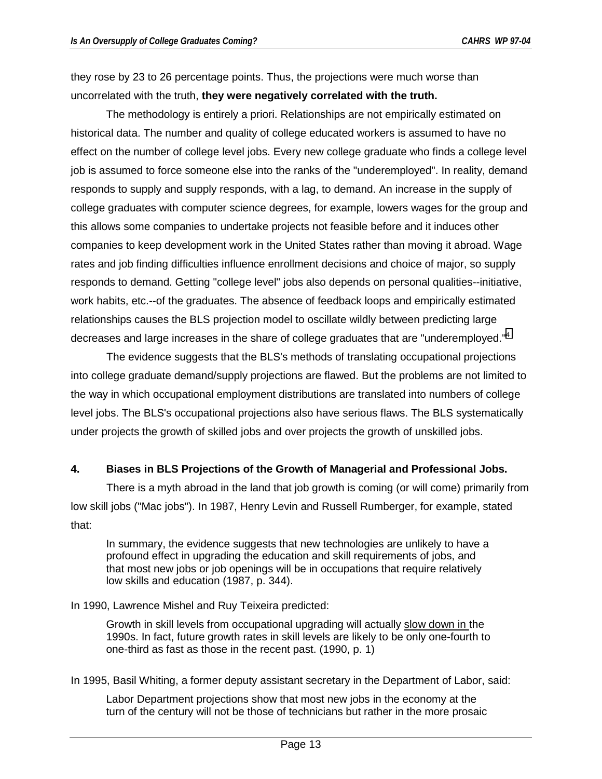they rose by 23 to 26 percentage points. Thus, the projections were much worse than uncorrelated with the truth, **they were negatively correlated with the truth.** 

The methodology is entirely a priori. Relationships are not empirically estimated on historical data. The number and quality of college educated workers is assumed to have no effect on the number of college level jobs. Every new college graduate who finds a college level job is assumed to force someone else into the ranks of the "underemployed". In reality, demand responds to supply and supply responds, with a lag, to demand. An increase in the supply of college graduates with computer science degrees, for example, lowers wages for the group and this allows some companies to undertake projects not feasible before and it induces other companies to keep development work in the United States rather than moving it abroad. Wage rates and job finding difficulties influence enrollment decisions and choice of major, so supply responds to demand. Getting "college level" jobs also depends on personal qualities--initiative, work habits, etc.--of the graduates. The absence of feedback loops and empirically estimated relationships causes the BLS projection model to oscillate wildly between predicting large decreases and large increases in the share of college graduates that are "underemployed."<sup>4</sup>

The evidence suggests that the BLS's methods of translating occupational projections into college graduate demand/supply projections are flawed. But the problems are not limited to the way in which occupational employment distributions are translated into numbers of college level jobs. The BLS's occupational projections also have serious flaws. The BLS systematically under projects the growth of skilled jobs and over projects the growth of unskilled jobs.

#### **4. Biases in BLS Projections of the Growth of Managerial and Professional Jobs.**

There is a myth abroad in the land that job growth is coming (or will come) primarily from low skill jobs ("Mac jobs"). In 1987, Henry Levin and Russell Rumberger, for example, stated that:

In summary, the evidence suggests that new technologies are unlikely to have a profound effect in upgrading the education and skill requirements of jobs, and that most new jobs or job openings will be in occupations that require relatively low skills and education (1987, p. 344).

In 1990, Lawrence Mishel and Ruy Teixeira predicted:

Growth in skill levels from occupational upgrading will actually slow down in the 1990s. In fact, future growth rates in skill levels are likely to be only one-fourth to one-third as fast as those in the recent past. (1990, p. 1)

In 1995, Basil Whiting, a former deputy assistant secretary in the Department of Labor, said:

Labor Department projections show that most new jobs in the economy at the turn of the century will not be those of technicians but rather in the more prosaic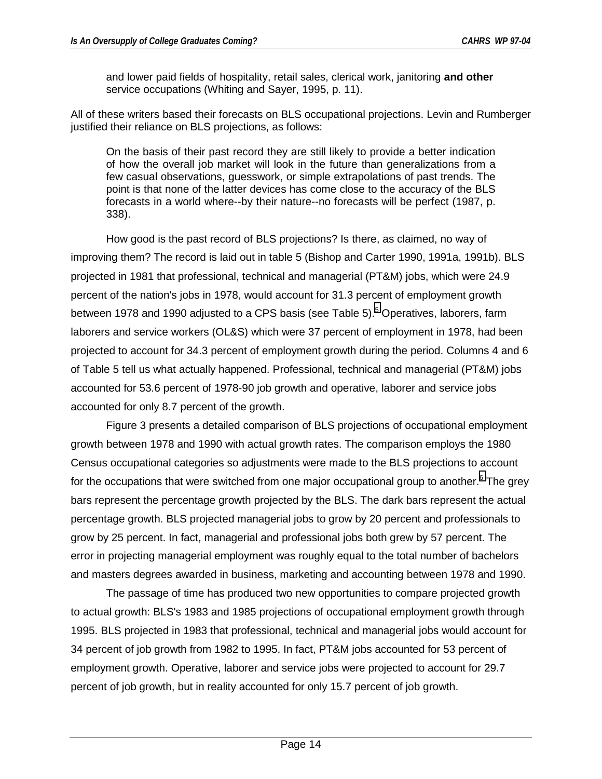and lower paid fields of hospitality, retail sales, clerical work, janitoring **and other**  service occupations (Whiting and Sayer, 1995, p. 11).

All of these writers based their forecasts on BLS occupational projections. Levin and Rumberger justified their reliance on BLS projections, as follows:

On the basis of their past record they are still likely to provide a better indication of how the overall job market will look in the future than generalizations from a few casual observations, guesswork, or simple extrapolations of past trends. The point is that none of the latter devices has come close to the accuracy of the BLS forecasts in a world where--by their nature--no forecasts will be perfect (1987, p. 338).

How good is the past record of BLS projections? Is there, as claimed, no way of improving them? The record is laid out in table 5 (Bishop and Carter 1990, 1991a, 1991b). BLS projected in 1981 that professional, technical and managerial (PT&M) jobs, which were 24.9 percent of the nation's jobs in 1978, would account for 31.3 percent of employment growth between 1978 and 1990 adjusted to a CPS basis (see Table 5).<sup>5</sup> Operatives, laborers, farm laborers and service workers (OL&S) which were 37 percent of employment in 1978, had been projected to account for 34.3 percent of employment growth during the period. Columns 4 and 6 of Table 5 tell us what actually happened. Professional, technical and managerial (PT&M) jobs accounted for 53.6 percent of 1978-90 job growth and operative, laborer and service jobs accounted for only 8.7 percent of the growth.

Figure 3 presents a detailed comparison of BLS projections of occupational employment growth between 1978 and 1990 with actual growth rates. The comparison employs the 1980 Census occupational categories so adjustments were made to the BLS projections to account for the occupations that were switched from one major occupational group to another.<sup>6</sup> The grey bars represent the percentage growth projected by the BLS. The dark bars represent the actual percentage growth. BLS projected managerial jobs to grow by 20 percent and professionals to grow by 25 percent. In fact, managerial and professional jobs both grew by 57 percent. The error in projecting managerial employment was roughly equal to the total number of bachelors and masters degrees awarded in business, marketing and accounting between 1978 and 1990.

The passage of time has produced two new opportunities to compare projected growth to actual growth: BLS's 1983 and 1985 projections of occupational employment growth through 1995. BLS projected in 1983 that professional, technical and managerial jobs would account for 34 percent of job growth from 1982 to 1995. In fact, PT&M jobs accounted for 53 percent of employment growth. Operative, laborer and service jobs were projected to account for 29.7 percent of job growth, but in reality accounted for only 15.7 percent of job growth.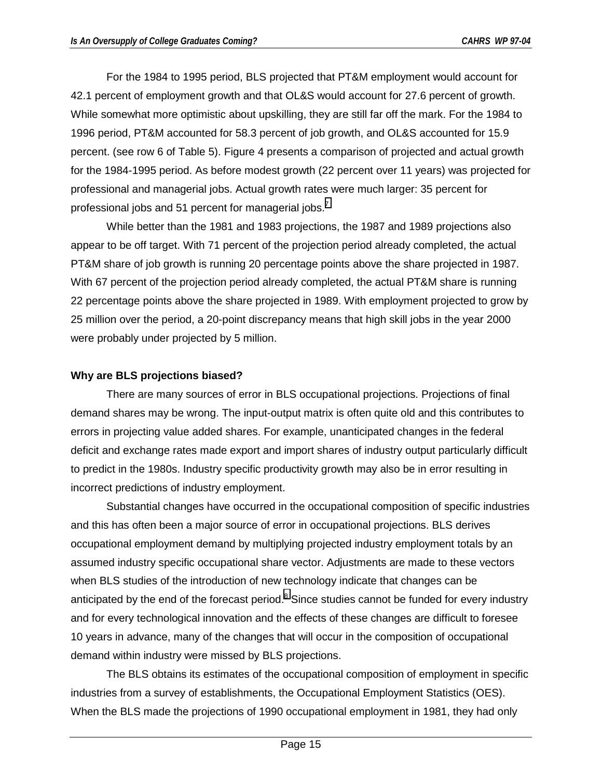For the 1984 to 1995 period, BLS projected that PT&M employment would account for 42.1 percent of employment growth and that OL&S would account for 27.6 percent of growth. While somewhat more optimistic about upskilling, they are still far off the mark. For the 1984 to 1996 period, PT&M accounted for 58.3 percent of job growth, and OL&S accounted for 15.9 percent. (see row 6 of Table 5). Figure 4 presents a comparison of projected and actual growth for the 1984-1995 period. As before modest growth (22 percent over 11 years) was projected for professional and managerial jobs. Actual growth rates were much larger: 35 percent for professional jobs and 51 percent for managerial jobs.<sup>7</sup>

While better than the 1981 and 1983 projections, the 1987 and 1989 projections also appear to be off target. With 71 percent of the projection period already completed, the actual PT&M share of job growth is running 20 percentage points above the share projected in 1987. With 67 percent of the projection period already completed, the actual PT&M share is running 22 percentage points above the share projected in 1989. With employment projected to grow by 25 million over the period, a 20-point discrepancy means that high skill jobs in the year 2000 were probably under projected by 5 million.

#### **Why are BLS projections biased?**

There are many sources of error in BLS occupational projections. Projections of final demand shares may be wrong. The input-output matrix is often quite old and this contributes to errors in projecting value added shares. For example, unanticipated changes in the federal deficit and exchange rates made export and import shares of industry output particularly difficult to predict in the 1980s. Industry specific productivity growth may also be in error resulting in incorrect predictions of industry employment.

Substantial changes have occurred in the occupational composition of specific industries and this has often been a major source of error in occupational projections. BLS derives occupational employment demand by multiplying projected industry employment totals by an assumed industry specific occupational share vector. Adjustments are made to these vectors when BLS studies of the introduction of new technology indicate that changes can be anticipated by the end of the forecast period. $8$  Since studies cannot be funded for every industry and for every technological innovation and the effects of these changes are difficult to foresee 10 years in advance, many of the changes that will occur in the composition of occupational demand within industry were missed by BLS projections.

The BLS obtains its estimates of the occupational composition of employment in specific industries from a survey of establishments, the Occupational Employment Statistics (OES). When the BLS made the projections of 1990 occupational employment in 1981, they had only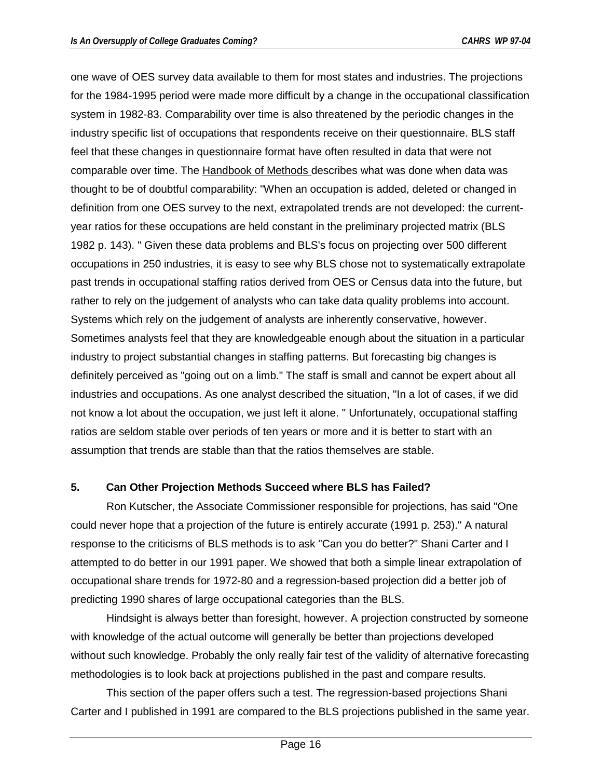one wave of OES survey data available to them for most states and industries. The projections for the 1984-1995 period were made more difficult by a change in the occupational classification system in 1982-83. Comparability over time is also threatened by the periodic changes in the industry specific list of occupations that respondents receive on their questionnaire. BLS staff feel that these changes in questionnaire format have often resulted in data that were not comparable over time. The Handbook of Methods describes what was done when data was thought to be of doubtful comparability: "When an occupation is added, deleted or changed in definition from one OES survey to the next, extrapolated trends are not developed: the currentyear ratios for these occupations are held constant in the preliminary projected matrix (BLS 1982 p. 143). " Given these data problems and BLS's focus on projecting over 500 different occupations in 250 industries, it is easy to see why BLS chose not to systematically extrapolate past trends in occupational staffing ratios derived from OES or Census data into the future, but rather to rely on the judgement of analysts who can take data quality problems into account. Systems which rely on the judgement of analysts are inherently conservative, however. Sometimes analysts feel that they are knowledgeable enough about the situation in a particular industry to project substantial changes in staffing patterns. But forecasting big changes is definitely perceived as "going out on a limb." The staff is small and cannot be expert about all industries and occupations. As one analyst described the situation, "In a lot of cases, if we did not know a lot about the occupation, we just left it alone. " Unfortunately, occupational staffing ratios are seldom stable over periods of ten years or more and it is better to start with an assumption that trends are stable than that the ratios themselves are stable.

#### **5. Can Other Projection Methods Succeed where BLS has Failed?**

Ron Kutscher, the Associate Commissioner responsible for projections, has said "One could never hope that a projection of the future is entirely accurate (1991 p. 253)." A natural response to the criticisms of BLS methods is to ask "Can you do better?" Shani Carter and I attempted to do better in our 1991 paper. We showed that both a simple linear extrapolation of occupational share trends for 1972-80 and a regression-based projection did a better job of predicting 1990 shares of large occupational categories than the BLS.

Hindsight is always better than foresight, however. A projection constructed by someone with knowledge of the actual outcome will generally be better than projections developed without such knowledge. Probably the only really fair test of the validity of alternative forecasting methodologies is to look back at projections published in the past and compare results.

This section of the paper offers such a test. The regression-based projections Shani Carter and I published in 1991 are compared to the BLS projections published in the same year.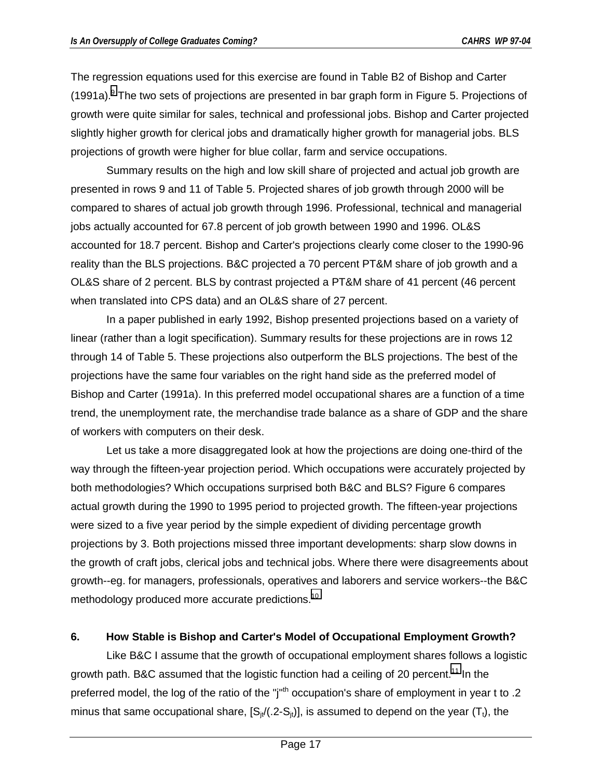The regression equations used for this exercise are found in Table B2 of Bishop and Carter (1991a). $9$  The two sets of projections are presented in bar graph form in Figure 5. Projections of growth were quite similar for sales, technical and professional jobs. Bishop and Carter projected slightly higher growth for clerical jobs and dramatically higher growth for managerial jobs. BLS projections of growth were higher for blue collar, farm and service occupations.

Summary results on the high and low skill share of projected and actual job growth are presented in rows 9 and 11 of Table 5. Projected shares of job growth through 2000 will be compared to shares of actual job growth through 1996. Professional, technical and managerial jobs actually accounted for 67.8 percent of job growth between 1990 and 1996. OL&S accounted for 18.7 percent. Bishop and Carter's projections clearly come closer to the 1990-96 reality than the BLS projections. B&C projected a 70 percent PT&M share of job growth and a OL&S share of 2 percent. BLS by contrast projected a PT&M share of 41 percent (46 percent when translated into CPS data) and an OL&S share of 27 percent.

In a paper published in early 1992, Bishop presented projections based on a variety of linear (rather than a logit specification). Summary results for these projections are in rows 12 through 14 of Table 5. These projections also outperform the BLS projections. The best of the projections have the same four variables on the right hand side as the preferred model of Bishop and Carter (1991a). In this preferred model occupational shares are a function of a time trend, the unemployment rate, the merchandise trade balance as a share of GDP and the share of workers with computers on their desk.

Let us take a more disaggregated look at how the projections are doing one-third of the way through the fifteen-year projection period. Which occupations were accurately projected by both methodologies? Which occupations surprised both B&C and BLS? Figure 6 compares actual growth during the 1990 to 1995 period to projected growth. The fifteen-year projections were sized to a five year period by the simple expedient of dividing percentage growth projections by 3. Both projections missed three important developments: sharp slow downs in the growth of craft jobs, clerical jobs and technical jobs. Where there were disagreements about growth--eg. for managers, professionals, operatives and laborers and service workers--the B&C methodology produced more accurate predictions.<sup>10</sup>

#### **6. How Stable is Bishop and Carter's Model of Occupational Employment Growth?**

Like B&C I assume that the growth of occupational employment shares follows a logistic growth path. B&C assumed that the logistic function had a ceiling of 20 percent.<sup>11</sup> In the preferred model, the log of the ratio of the "j<sup>"th</sup> occupation's share of employment in year t to .2 minus that same occupational share,  $[S_{ij}/(.2-S_{it})]$ , is assumed to depend on the year (T<sub>t</sub>), the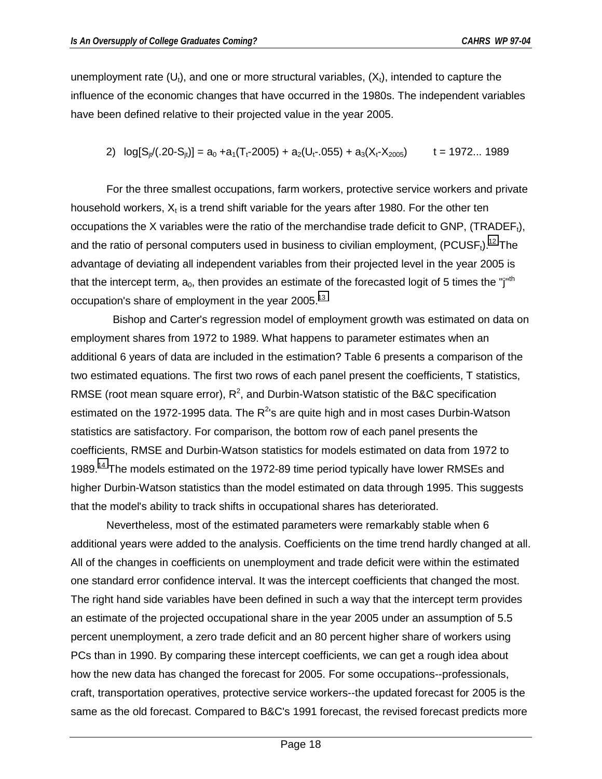unemployment rate  $(U_t)$ , and one or more structural variables,  $(X_t)$ , intended to capture the influence of the economic changes that have occurred in the 1980s. The independent variables have been defined relative to their projected value in the year 2005.

2) 
$$
log[S_{it}((.20-S_{it})] = a_0 + a_1(T_t - 2005) + a_2(U_t - 055) + a_3(X_t - X_{2005})
$$
  $t = 1972...$  1989

For the three smallest occupations, farm workers, protective service workers and private household workers,  $X_t$  is a trend shift variable for the years after 1980. For the other ten occupations the X variables were the ratio of the merchandise trade deficit to GNP,  $(TRADEF)$ , and the ratio of personal computers used in business to civilian employment, (PCUSF $_1$ ).<sup>12</sup> The advantage of deviating all independent variables from their projected level in the year 2005 is that the intercept term,  $a_0$ , then provides an estimate of the forecasted logit of 5 times the "i"<sup>th</sup> occupation's share of employment in the year 2005.<sup>13</sup>

 Bishop and Carter's regression model of employment growth was estimated on data on employment shares from 1972 to 1989. What happens to parameter estimates when an additional 6 years of data are included in the estimation? Table 6 presents a comparison of the two estimated equations. The first two rows of each panel present the coefficients, T statistics, RMSE (root mean square error),  $R^2$ , and Durbin-Watson statistic of the B&C specification estimated on the 1972-1995 data. The  $R^{2}$ 's are quite high and in most cases Durbin-Watson statistics are satisfactory. For comparison, the bottom row of each panel presents the coefficients, RMSE and Durbin-Watson statistics for models estimated on data from 1972 to 1989.<sup>14</sup> The models estimated on the 1972-89 time period typically have lower RMSEs and higher Durbin-Watson statistics than the model estimated on data through 1995. This suggests that the model's ability to track shifts in occupational shares has deteriorated.

Nevertheless, most of the estimated parameters were remarkably stable when 6 additional years were added to the analysis. Coefficients on the time trend hardly changed at all. All of the changes in coefficients on unemployment and trade deficit were within the estimated one standard error confidence interval. It was the intercept coefficients that changed the most. The right hand side variables have been defined in such a way that the intercept term provides an estimate of the projected occupational share in the year 2005 under an assumption of 5.5 percent unemployment, a zero trade deficit and an 80 percent higher share of workers using PCs than in 1990. By comparing these intercept coefficients, we can get a rough idea about how the new data has changed the forecast for 2005. For some occupations--professionals, craft, transportation operatives, protective service workers--the updated forecast for 2005 is the same as the old forecast. Compared to B&C's 1991 forecast, the revised forecast predicts more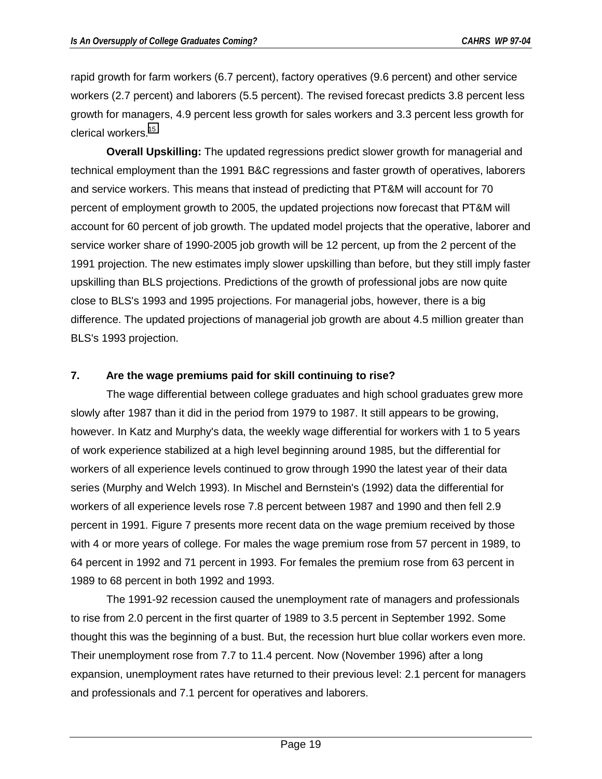rapid growth for farm workers (6.7 percent), factory operatives (9.6 percent) and other service workers (2.7 percent) and laborers (5.5 percent). The revised forecast predicts 3.8 percent less growth for managers, 4.9 percent less growth for sales workers and 3.3 percent less growth for clerical workers.15

**Overall Upskilling:** The updated regressions predict slower growth for managerial and technical employment than the 1991 B&C regressions and faster growth of operatives, laborers and service workers. This means that instead of predicting that PT&M will account for 70 percent of employment growth to 2005, the updated projections now forecast that PT&M will account for 60 percent of job growth. The updated model projects that the operative, laborer and service worker share of 1990-2005 job growth will be 12 percent, up from the 2 percent of the 1991 projection. The new estimates imply slower upskilling than before, but they still imply faster upskilling than BLS projections. Predictions of the growth of professional jobs are now quite close to BLS's 1993 and 1995 projections. For managerial jobs, however, there is a big difference. The updated projections of managerial job growth are about 4.5 million greater than BLS's 1993 projection.

#### **7. Are the wage premiums paid for skill continuing to rise?**

The wage differential between college graduates and high school graduates grew more slowly after 1987 than it did in the period from 1979 to 1987. It still appears to be growing, however. In Katz and Murphy's data, the weekly wage differential for workers with 1 to 5 years of work experience stabilized at a high level beginning around 1985, but the differential for workers of all experience levels continued to grow through 1990 the latest year of their data series (Murphy and Welch 1993). In Mischel and Bernstein's (1992) data the differential for workers of all experience levels rose 7.8 percent between 1987 and 1990 and then fell 2.9 percent in 1991. Figure 7 presents more recent data on the wage premium received by those with 4 or more years of college. For males the wage premium rose from 57 percent in 1989, to 64 percent in 1992 and 71 percent in 1993. For females the premium rose from 63 percent in 1989 to 68 percent in both 1992 and 1993.

The 1991-92 recession caused the unemployment rate of managers and professionals to rise from 2.0 percent in the first quarter of 1989 to 3.5 percent in September 1992. Some thought this was the beginning of a bust. But, the recession hurt blue collar workers even more. Their unemployment rose from 7.7 to 11.4 percent. Now (November 1996) after a long expansion, unemployment rates have returned to their previous level: 2.1 percent for managers and professionals and 7.1 percent for operatives and laborers.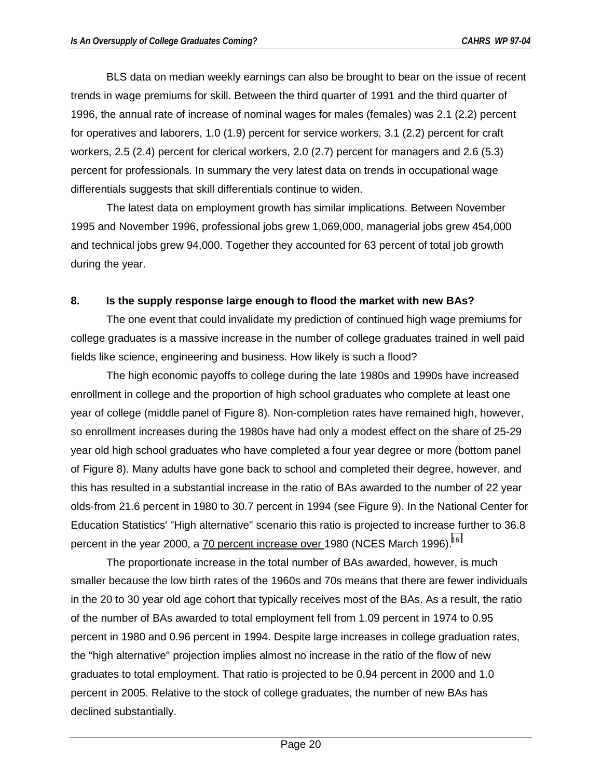BLS data on median weekly earnings can also be brought to bear on the issue of recent trends in wage premiums for skill. Between the third quarter of 1991 and the third quarter of 1996, the annual rate of increase of nominal wages for males (females) was 2.1 (2.2) percent for operatives and laborers, 1.0 (1.9) percent for service workers, 3.1 (2.2) percent for craft workers, 2.5 (2.4) percent for clerical workers, 2.0 (2.7) percent for managers and 2.6 (5.3) percent for professionals. In summary the very latest data on trends in occupational wage differentials suggests that skill differentials continue to widen.

The latest data on employment growth has similar implications. Between November 1995 and November 1996, professional jobs grew 1,069,000, managerial jobs grew 454,000 and technical jobs grew 94,000. Together they accounted for 63 percent of total job growth during the year.

#### **8. Is the supply response large enough to flood the market with new BAs?**

The one event that could invalidate my prediction of continued high wage premiums for college graduates is a massive increase in the number of college graduates trained in well paid fields like science, engineering and business. How likely is such a flood?

The high economic payoffs to college during the late 1980s and 1990s have increased enrollment in college and the proportion of high school graduates who complete at least one year of college (middle panel of Figure 8). Non-completion rates have remained high, however, so enrollment increases during the 1980s have had only a modest effect on the share of 25-29 year old high school graduates who have completed a four year degree or more (bottom panel of Figure 8). Many adults have gone back to school and completed their degree, however, and this has resulted in a substantial increase in the ratio of BAs awarded to the number of 22 year olds-from 21.6 percent in 1980 to 30.7 percent in 1994 (see Figure 9). In the National Center for Education Statistics' "High alternative" scenario this ratio is projected to increase further to 36.8 percent in the year 2000, a 70 percent increase over 1980 (NCES March 1996).<sup>16</sup>

The proportionate increase in the total number of BAs awarded, however, is much smaller because the low birth rates of the 1960s and 70s means that there are fewer individuals in the 20 to 30 year old age cohort that typically receives most of the BAs. As a result, the ratio of the number of BAs awarded to total employment fell from 1.09 percent in 1974 to 0.95 percent in 1980 and 0.96 percent in 1994. Despite large increases in college graduation rates, the "high alternative" projection implies almost no increase in the ratio of the flow of new graduates to total employment. That ratio is projected to be 0.94 percent in 2000 and 1.0 percent in 2005. Relative to the stock of college graduates, the number of new BAs has declined substantially.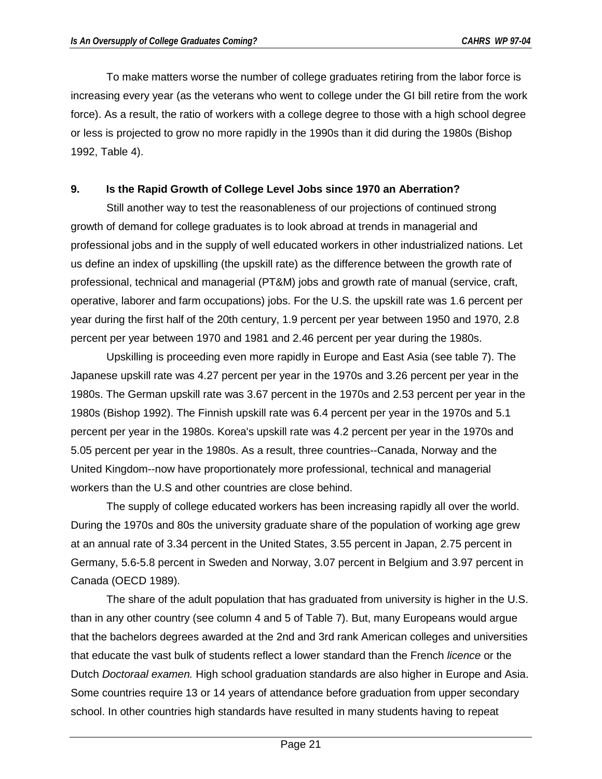To make matters worse the number of college graduates retiring from the labor force is increasing every year (as the veterans who went to college under the GI bill retire from the work force). As a result, the ratio of workers with a college degree to those with a high school degree or less is projected to grow no more rapidly in the 1990s than it did during the 1980s (Bishop 1992, Table 4).

#### **9. Is the Rapid Growth of College Level Jobs since 1970 an Aberration?**

Still another way to test the reasonableness of our projections of continued strong growth of demand for college graduates is to look abroad at trends in managerial and professional jobs and in the supply of well educated workers in other industrialized nations. Let us define an index of upskilling (the upskill rate) as the difference between the growth rate of professional, technical and managerial (PT&M) jobs and growth rate of manual (service, craft, operative, laborer and farm occupations) jobs. For the U.S. the upskill rate was 1.6 percent per year during the first half of the 20th century, 1.9 percent per year between 1950 and 1970, 2.8 percent per year between 1970 and 1981 and 2.46 percent per year during the 1980s.

Upskilling is proceeding even more rapidly in Europe and East Asia (see table 7). The Japanese upskill rate was 4.27 percent per year in the 1970s and 3.26 percent per year in the 1980s. The German upskill rate was 3.67 percent in the 1970s and 2.53 percent per year in the 1980s (Bishop 1992). The Finnish upskill rate was 6.4 percent per year in the 1970s and 5.1 percent per year in the 1980s. Korea's upskill rate was 4.2 percent per year in the 1970s and 5.05 percent per year in the 1980s. As a result, three countries--Canada, Norway and the United Kingdom--now have proportionately more professional, technical and managerial workers than the U.S and other countries are close behind.

The supply of college educated workers has been increasing rapidly all over the world. During the 1970s and 80s the university graduate share of the population of working age grew at an annual rate of 3.34 percent in the United States, 3.55 percent in Japan, 2.75 percent in Germany, 5.6-5.8 percent in Sweden and Norway, 3.07 percent in Belgium and 3.97 percent in Canada (OECD 1989).

The share of the adult population that has graduated from university is higher in the U.S. than in any other country (see column 4 and 5 of Table 7). But, many Europeans would argue that the bachelors degrees awarded at the 2nd and 3rd rank American colleges and universities that educate the vast bulk of students reflect a lower standard than the French licence or the Dutch Doctoraal examen. High school graduation standards are also higher in Europe and Asia. Some countries require 13 or 14 years of attendance before graduation from upper secondary school. In other countries high standards have resulted in many students having to repeat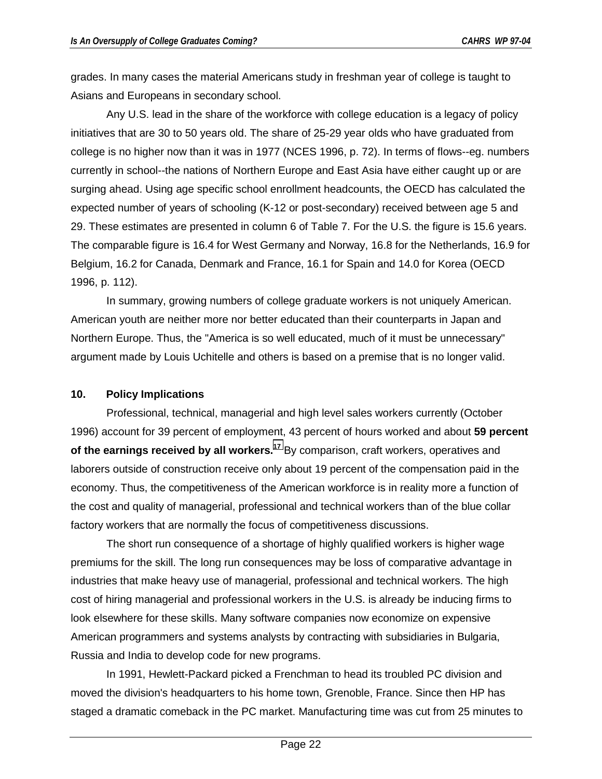grades. In many cases the material Americans study in freshman year of college is taught to Asians and Europeans in secondary school.

Any U.S. lead in the share of the workforce with college education is a legacy of policy initiatives that are 30 to 50 years old. The share of 25-29 year olds who have graduated from college is no higher now than it was in 1977 (NCES 1996, p. 72). In terms of flows--eg. numbers currently in school--the nations of Northern Europe and East Asia have either caught up or are surging ahead. Using age specific school enrollment headcounts, the OECD has calculated the expected number of years of schooling (K-12 or post-secondary) received between age 5 and 29. These estimates are presented in column 6 of Table 7. For the U.S. the figure is 15.6 years. The comparable figure is 16.4 for West Germany and Norway, 16.8 for the Netherlands, 16.9 for Belgium, 16.2 for Canada, Denmark and France, 16.1 for Spain and 14.0 for Korea (OECD 1996, p. 112).

In summary, growing numbers of college graduate workers is not uniquely American. American youth are neither more nor better educated than their counterparts in Japan and Northern Europe. Thus, the "America is so well educated, much of it must be unnecessary" argument made by Louis Uchitelle and others is based on a premise that is no longer valid.

#### **10. Policy Implications**

Professional, technical, managerial and high level sales workers currently (October 1996) account for 39 percent of employment, 43 percent of hours worked and about **59 percent of the earnings received by all workers.<sup>17</sup>** By comparison, craft workers, operatives and laborers outside of construction receive only about 19 percent of the compensation paid in the economy. Thus, the competitiveness of the American workforce is in reality more a function of the cost and quality of managerial, professional and technical workers than of the blue collar factory workers that are normally the focus of competitiveness discussions.

The short run consequence of a shortage of highly qualified workers is higher wage premiums for the skill. The long run consequences may be loss of comparative advantage in industries that make heavy use of managerial, professional and technical workers. The high cost of hiring managerial and professional workers in the U.S. is already be inducing firms to look elsewhere for these skills. Many software companies now economize on expensive American programmers and systems analysts by contracting with subsidiaries in Bulgaria, Russia and India to develop code for new programs.

In 1991, Hewlett-Packard picked a Frenchman to head its troubled PC division and moved the division's headquarters to his home town, Grenoble, France. Since then HP has staged a dramatic comeback in the PC market. Manufacturing time was cut from 25 minutes to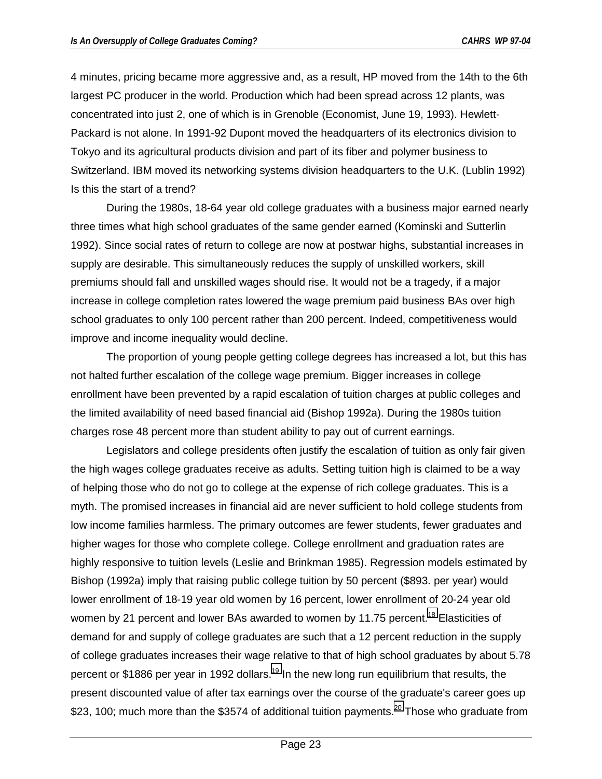4 minutes, pricing became more aggressive and, as a result, HP moved from the 14th to the 6th largest PC producer in the world. Production which had been spread across 12 plants, was concentrated into just 2, one of which is in Grenoble (Economist, June 19, 1993). Hewlett-Packard is not alone. In 1991-92 Dupont moved the headquarters of its electronics division to Tokyo and its agricultural products division and part of its fiber and polymer business to Switzerland. IBM moved its networking systems division headquarters to the U.K. (Lublin 1992) Is this the start of a trend?

During the 1980s, 18-64 year old college graduates with a business major earned nearly three times what high school graduates of the same gender earned (Kominski and Sutterlin 1992). Since social rates of return to college are now at postwar highs, substantial increases in supply are desirable. This simultaneously reduces the supply of unskilled workers, skill premiums should fall and unskilled wages should rise. It would not be a tragedy, if a major increase in college completion rates lowered the wage premium paid business BAs over high school graduates to only 100 percent rather than 200 percent. Indeed, competitiveness would improve and income inequality would decline.

The proportion of young people getting college degrees has increased a lot, but this has not halted further escalation of the college wage premium. Bigger increases in college enrollment have been prevented by a rapid escalation of tuition charges at public colleges and the limited availability of need based financial aid (Bishop 1992a). During the 1980s tuition charges rose 48 percent more than student ability to pay out of current earnings.

Legislators and college presidents often justify the escalation of tuition as only fair given the high wages college graduates receive as adults. Setting tuition high is claimed to be a way of helping those who do not go to college at the expense of rich college graduates. This is a myth. The promised increases in financial aid are never sufficient to hold college students from low income families harmless. The primary outcomes are fewer students, fewer graduates and higher wages for those who complete college. College enrollment and graduation rates are highly responsive to tuition levels (Leslie and Brinkman 1985). Regression models estimated by Bishop (1992a) imply that raising public college tuition by 50 percent (\$893. per year) would lower enrollment of 18-19 year old women by 16 percent, lower enrollment of 20-24 year old women by 21 percent and lower BAs awarded to women by 11.75 percent.<sup>18</sup> Elasticities of demand for and supply of college graduates are such that a 12 percent reduction in the supply of college graduates increases their wage relative to that of high school graduates by about 5.78 percent or \$1886 per year in 1992 dollars.<sup>19</sup> In the new long run equilibrium that results, the present discounted value of after tax earnings over the course of the graduate's career goes up \$23, 100; much more than the \$3574 of additional tuition payments.<sup>20</sup> Those who graduate from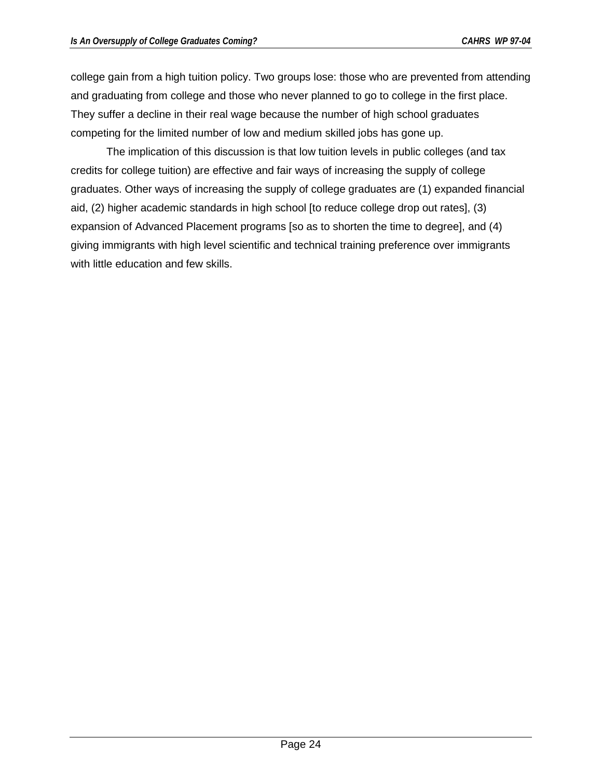college gain from a high tuition policy. Two groups lose: those who are prevented from attending and graduating from college and those who never planned to go to college in the first place. They suffer a decline in their real wage because the number of high school graduates competing for the limited number of low and medium skilled jobs has gone up.

The implication of this discussion is that low tuition levels in public colleges (and tax credits for college tuition) are effective and fair ways of increasing the supply of college graduates. Other ways of increasing the supply of college graduates are (1) expanded financial aid, (2) higher academic standards in high school [to reduce college drop out rates], (3) expansion of Advanced Placement programs [so as to shorten the time to degree], and (4) giving immigrants with high level scientific and technical training preference over immigrants with little education and few skills.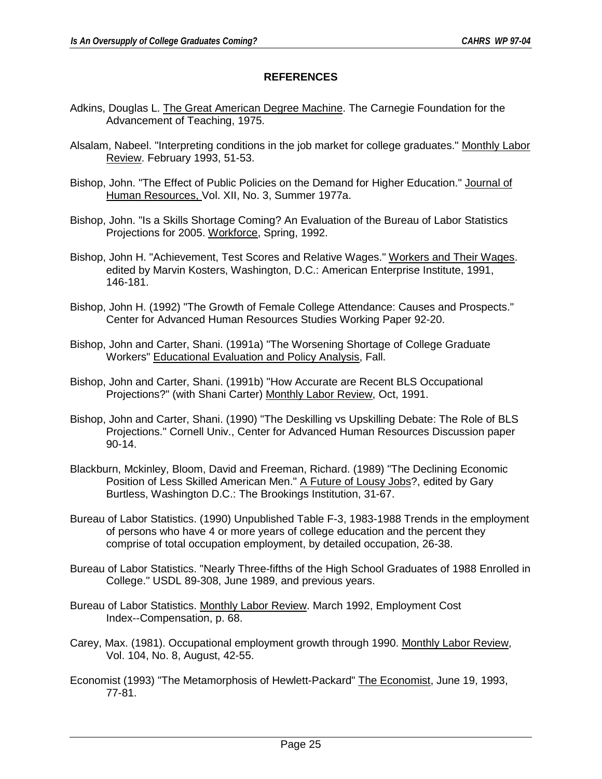#### **REFERENCES**

- Adkins, Douglas L. The Great American Degree Machine. The Carnegie Foundation for the Advancement of Teaching, 1975.
- Alsalam, Nabeel. "Interpreting conditions in the job market for college graduates." Monthly Labor Review. February 1993, 51-53.
- Bishop, John. "The Effect of Public Policies on the Demand for Higher Education." Journal of Human Resources, Vol. XII, No. 3, Summer 1977a.
- Bishop, John. "Is a Skills Shortage Coming? An Evaluation of the Bureau of Labor Statistics Projections for 2005. Workforce, Spring, 1992.
- Bishop, John H. "Achievement, Test Scores and Relative Wages." Workers and Their Wages. edited by Marvin Kosters, Washington, D.C.: American Enterprise Institute, 1991, 146-181.
- Bishop, John H. (1992) "The Growth of Female College Attendance: Causes and Prospects." Center for Advanced Human Resources Studies Working Paper 92-20.
- Bishop, John and Carter, Shani. (1991a) "The Worsening Shortage of College Graduate Workers" Educational Evaluation and Policy Analysis, Fall.
- Bishop, John and Carter, Shani. (1991b) "How Accurate are Recent BLS Occupational Projections?" (with Shani Carter) Monthly Labor Review, Oct, 1991.
- Bishop, John and Carter, Shani. (1990) "The Deskilling vs Upskilling Debate: The Role of BLS Projections." Cornell Univ., Center for Advanced Human Resources Discussion paper 90-14.
- Blackburn, Mckinley, Bloom, David and Freeman, Richard. (1989) "The Declining Economic Position of Less Skilled American Men." A Future of Lousy Jobs?, edited by Gary Burtless, Washington D.C.: The Brookings Institution, 31-67.
- Bureau of Labor Statistics. (1990) Unpublished Table F-3, 1983-1988 Trends in the employment of persons who have 4 or more years of college education and the percent they comprise of total occupation employment, by detailed occupation, 26-38.
- Bureau of Labor Statistics. "Nearly Three-fifths of the High School Graduates of 1988 Enrolled in College." USDL 89-308, June 1989, and previous years.
- Bureau of Labor Statistics. Monthly Labor Review. March 1992, Employment Cost Index--Compensation, p. 68.
- Carey, Max. (1981). Occupational employment growth through 1990. Monthly Labor Review, Vol. 104, No. 8, August, 42-55.
- Economist (1993) "The Metamorphosis of Hewlett-Packard" The Economist, June 19, 1993, 77-81.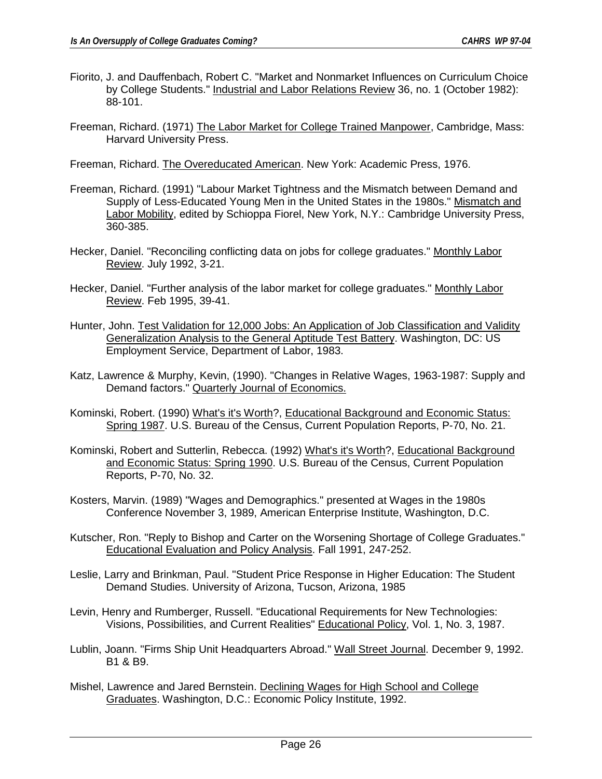- Fiorito, J. and Dauffenbach, Robert C. "Market and Nonmarket Influences on Curriculum Choice by College Students." Industrial and Labor Relations Review 36, no. 1 (October 1982): 88-101.
- Freeman, Richard. (1971) The Labor Market for College Trained Manpower, Cambridge, Mass: Harvard University Press.

Freeman, Richard. The Overeducated American. New York: Academic Press, 1976.

- Freeman, Richard. (1991) "Labour Market Tightness and the Mismatch between Demand and Supply of Less-Educated Young Men in the United States in the 1980s." Mismatch and Labor Mobility, edited by Schioppa Fiorel, New York, N.Y.: Cambridge University Press, 360-385.
- Hecker, Daniel. "Reconciling conflicting data on jobs for college graduates." Monthly Labor Review. July 1992, 3-21.
- Hecker, Daniel. "Further analysis of the labor market for college graduates." Monthly Labor Review. Feb 1995, 39-41.
- Hunter, John. Test Validation for 12,000 Jobs: An Application of Job Classification and Validity Generalization Analysis to the General Aptitude Test Battery. Washington, DC: US Employment Service, Department of Labor, 1983.
- Katz, Lawrence & Murphy, Kevin, (1990). "Changes in Relative Wages, 1963-1987: Supply and Demand factors." Quarterly Journal of Economics.
- Kominski, Robert. (1990) What's it's Worth?, Educational Background and Economic Status: Spring 1987. U.S. Bureau of the Census, Current Population Reports, P-70, No. 21.
- Kominski, Robert and Sutterlin, Rebecca. (1992) What's it's Worth?, Educational Background and Economic Status: Spring 1990. U.S. Bureau of the Census, Current Population Reports, P-70, No. 32.
- Kosters, Marvin. (1989) "Wages and Demographics." presented at Wages in the 1980s Conference November 3, 1989, American Enterprise Institute, Washington, D.C.
- Kutscher, Ron. "Reply to Bishop and Carter on the Worsening Shortage of College Graduates." Educational Evaluation and Policy Analysis. Fall 1991, 247-252.
- Leslie, Larry and Brinkman, Paul. "Student Price Response in Higher Education: The Student Demand Studies. University of Arizona, Tucson, Arizona, 1985
- Levin, Henry and Rumberger, Russell. "Educational Requirements for New Technologies: Visions, Possibilities, and Current Realities" Educational Policy, Vol. 1, No. 3, 1987.
- Lublin, Joann. "Firms Ship Unit Headquarters Abroad." Wall Street Journal. December 9, 1992. B1 & B9.
- Mishel, Lawrence and Jared Bernstein. Declining Wages for High School and College Graduates. Washington, D.C.: Economic Policy Institute, 1992.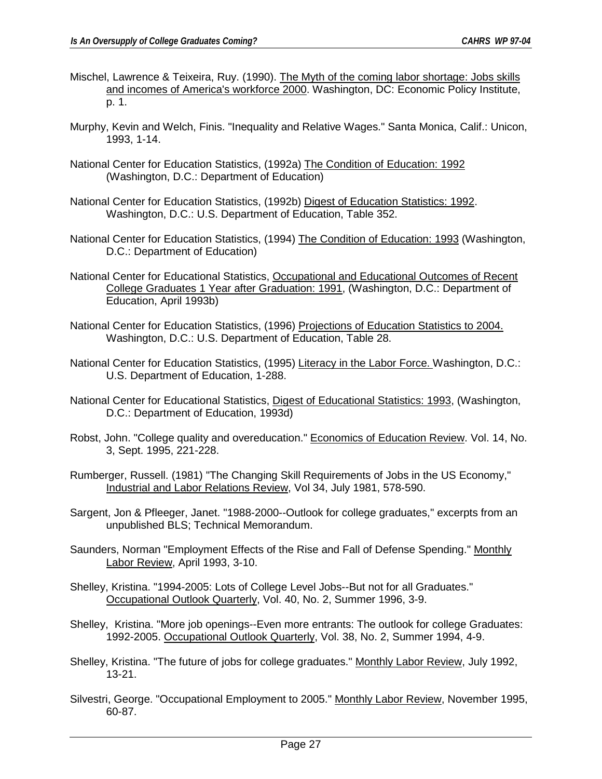- Mischel, Lawrence & Teixeira, Ruy. (1990). The Myth of the coming labor shortage: Jobs skills and incomes of America's workforce 2000. Washington, DC: Economic Policy Institute, p. 1.
- Murphy, Kevin and Welch, Finis. "Inequality and Relative Wages." Santa Monica, Calif.: Unicon, 1993, 1-14.
- National Center for Education Statistics, (1992a) The Condition of Education: 1992 (Washington, D.C.: Department of Education)
- National Center for Education Statistics, (1992b) Digest of Education Statistics: 1992. Washington, D.C.: U.S. Department of Education, Table 352.
- National Center for Education Statistics, (1994) The Condition of Education: 1993 (Washington, D.C.: Department of Education)
- National Center for Educational Statistics, Occupational and Educational Outcomes of Recent College Graduates 1 Year after Graduation: 1991, (Washington, D.C.: Department of Education, April 1993b)
- National Center for Education Statistics, (1996) Projections of Education Statistics to 2004. Washington, D.C.: U.S. Department of Education, Table 28.
- National Center for Education Statistics, (1995) Literacy in the Labor Force. Washington, D.C.: U.S. Department of Education, 1-288.
- National Center for Educational Statistics, Digest of Educational Statistics: 1993, (Washington, D.C.: Department of Education, 1993d)
- Robst, John. "College quality and overeducation." **Economics of Education Review. Vol. 14, No.** 3, Sept. 1995, 221-228.
- Rumberger, Russell. (1981) "The Changing Skill Requirements of Jobs in the US Economy," Industrial and Labor Relations Review, Vol 34, July 1981, 578-590.
- Sargent, Jon & Pfleeger, Janet. "1988-2000--Outlook for college graduates," excerpts from an unpublished BLS; Technical Memorandum.
- Saunders, Norman "Employment Effects of the Rise and Fall of Defense Spending." Monthly Labor Review, April 1993, 3-10.
- Shelley, Kristina. "1994-2005: Lots of College Level Jobs--But not for all Graduates." Occupational Outlook Quarterly, Vol. 40, No. 2, Summer 1996, 3-9.
- Shelley, Kristina. "More job openings--Even more entrants: The outlook for college Graduates: 1992-2005. Occupational Outlook Quarterly, Vol. 38, No. 2, Summer 1994, 4-9.
- Shelley, Kristina. "The future of jobs for college graduates." Monthly Labor Review, July 1992, 13-21.
- Silvestri, George. "Occupational Employment to 2005." Monthly Labor Review, November 1995, 60-87.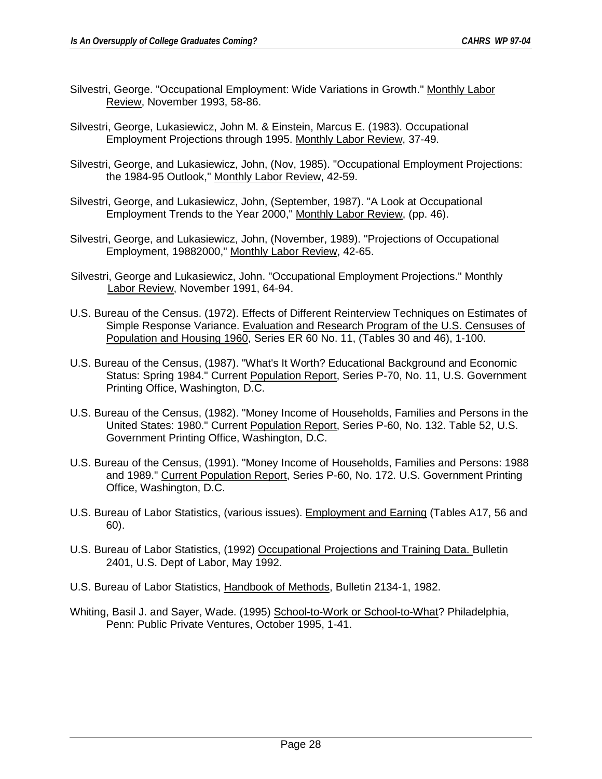- Silvestri, George. "Occupational Employment: Wide Variations in Growth." Monthly Labor Review, November 1993, 58-86.
- Silvestri, George, Lukasiewicz, John M. & Einstein, Marcus E. (1983). Occupational Employment Projections through 1995. Monthly Labor Review, 37-49.
- Silvestri, George, and Lukasiewicz, John, (Nov, 1985). "Occupational Employment Projections: the 1984-95 Outlook," Monthly Labor Review, 42-59.
- Silvestri, George, and Lukasiewicz, John, (September, 1987). "A Look at Occupational Employment Trends to the Year 2000," Monthly Labor Review, (pp. 46).
- Silvestri, George, and Lukasiewicz, John, (November, 1989). "Projections of Occupational Employment, 19882000," Monthly Labor Review, 42-65.
- Silvestri, George and Lukasiewicz, John. "Occupational Employment Projections." Monthly Labor Review, November 1991, 64-94.
- U.S. Bureau of the Census. (1972). Effects of Different Reinterview Techniques on Estimates of Simple Response Variance. Evaluation and Research Program of the U.S. Censuses of Population and Housing 1960, Series ER 60 No. 11, (Tables 30 and 46), 1-100.
- U.S. Bureau of the Census, (1987). "What's It Worth? Educational Background and Economic Status: Spring 1984." Current Population Report, Series P-70, No. 11, U.S. Government Printing Office, Washington, D.C.
- U.S. Bureau of the Census, (1982). "Money Income of Households, Families and Persons in the United States: 1980." Current Population Report, Series P-60, No. 132. Table 52, U.S. Government Printing Office, Washington, D.C.
- U.S. Bureau of the Census, (1991). "Money Income of Households, Families and Persons: 1988 and 1989." Current Population Report, Series P-60, No. 172. U.S. Government Printing Office, Washington, D.C.
- U.S. Bureau of Labor Statistics, (various issues). **Employment and Earning (Tables A17, 56 and** 60).
- U.S. Bureau of Labor Statistics, (1992) Occupational Projections and Training Data. Bulletin 2401, U.S. Dept of Labor, May 1992.
- U.S. Bureau of Labor Statistics, Handbook of Methods, Bulletin 2134-1, 1982.
- Whiting, Basil J. and Sayer, Wade. (1995) School-to-Work or School-to-What? Philadelphia, Penn: Public Private Ventures, October 1995, 1-41.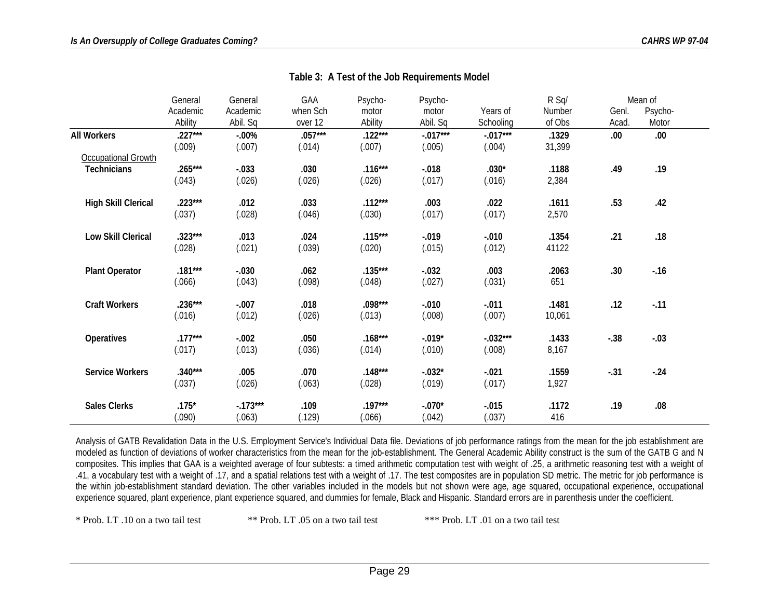|                                                  | General             | General              | GAA                 | Psycho-             | Psycho-              |                       | R Sq/            |                | Mean of          |  |
|--------------------------------------------------|---------------------|----------------------|---------------------|---------------------|----------------------|-----------------------|------------------|----------------|------------------|--|
|                                                  | Academic<br>Ability | Academic<br>Abil. Sq | when Sch<br>over 12 | motor<br>Ability    | motor<br>Abil. Sq    | Years of<br>Schooling | Number<br>of Obs | Genl.<br>Acad. | Psycho-<br>Motor |  |
| <b>All Workers</b>                               | $.227***$<br>(.009) | $-0.00\%$<br>(.007)  | $.057***$<br>(.014) | $.122***$<br>(.007) | $-.017***$<br>(.005) | $-.017***$<br>(.004)  | .1329<br>31,399  | .00            | .00              |  |
| <b>Occupational Growth</b><br><b>Technicians</b> | $.265***$           | $-.033$              | .030                | $.116***$           | $-0.018$             | $.030*$               | .1188            | .49            | .19              |  |
|                                                  | (.043)              | (.026)               | (.026)              | (.026)              | (.017)               | (.016)                | 2,384            |                |                  |  |
| <b>High Skill Clerical</b>                       | $.223***$<br>(.037) | .012<br>(.028)       | .033<br>(.046)      | $.112***$<br>(.030) | .003<br>(.017)       | .022<br>(.017)        | .1611<br>2,570   | .53            | .42              |  |
| <b>Low Skill Clerical</b>                        | $.323***$<br>(.028) | .013<br>(.021)       | .024<br>(.039)      | $.115***$<br>(.020) | $-0.019$<br>(.015)   | $-0.010$<br>(.012)    | .1354<br>41122   | .21            | .18              |  |
| <b>Plant Operator</b>                            | $.181***$<br>(.066) | $-.030$<br>(.043)    | .062<br>(.098)      | $.135***$<br>(.048) | $-.032$<br>(.027)    | .003<br>(.031)        | .2063<br>651     | .30            | $-16$            |  |
| <b>Craft Workers</b>                             | $.236***$<br>(.016) | $-.007$<br>(.012)    | .018<br>(.026)      | $.098***$<br>(.013) | $-0.010$<br>(.008)   | $-011$<br>(.007)      | .1481<br>10,061  | .12            | $-11$            |  |
| <b>Operatives</b>                                | $.177***$<br>(.017) | $-0.002$<br>(.013)   | .050<br>(.036)      | $.168***$<br>(.014) | $-0.019*$<br>(.010)  | $-0.032***$<br>(.008) | .1433<br>8,167   | $-.38$         | $-.03$           |  |
| <b>Service Workers</b>                           | $.340***$<br>(.037) | .005<br>(.026)       | .070<br>(.063)      | $.148***$<br>(.028) | $-.032*$<br>(.019)   | $-021$<br>(.017)      | .1559<br>1,927   | $-.31$         | $-24$            |  |
| <b>Sales Clerks</b>                              | $.175*$<br>(.090)   | $-.173***$<br>(.063) | .109<br>(.129)      | $.197***$<br>(.066) | $-.070*$<br>(.042)   | $-0.015$<br>(.037)    | .1172<br>416     | .19            | .08              |  |

#### **Table 3: A Test of the Job Requirements Model**

Analysis of GATB Revalidation Data in the U.S. Employment Service's Individual Data file. Deviations of job performance ratings from the mean for the job establishment are modeled as function of deviations of worker characteristics from the mean for the job-establishment. The General Academic Ability construct is the sum of the GATB G and N composites. This implies that GAA is a weighted average of four subtests: a timed arithmetic computation test with weight of .25, a arithmetic reasoning test with a weight of .41, a vocabulary test with a weight of .17, and a spatial relations test with a weight of .17. The test composites are in population SD metric. The metric for job performance is the within job-establishment standard deviation. The other variables included in the models but not shown were age, age squared, occupational experience, occupational experience squared, plant experience, plant experience squared, and dummies for female, Black and Hispanic. Standard errors are in parenthesis under the coefficient.

\* Prob. LT .10 on a two tail test \*\* Prob. LT .05 on a two tail test \*\*\* Prob. LT .01 on a two tail test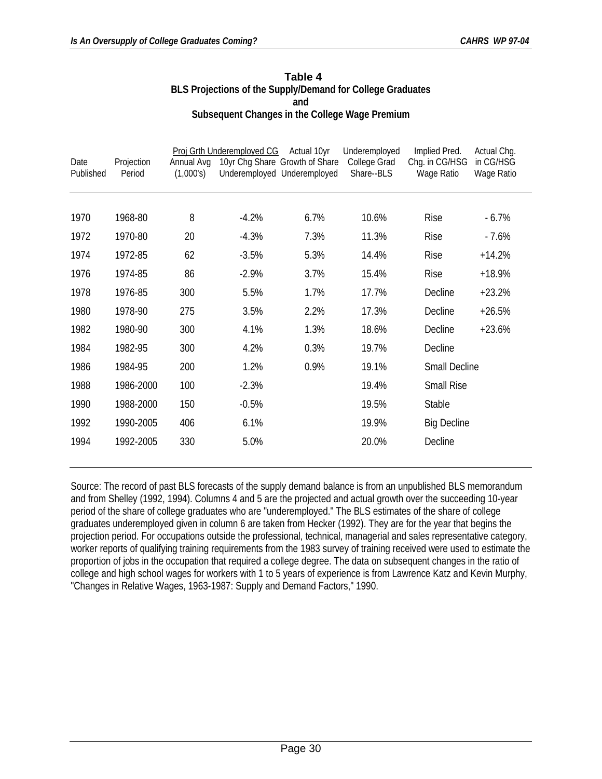| Table 4                                                    |
|------------------------------------------------------------|
| BLS Projections of the Supply/Demand for College Graduates |
| and                                                        |
| Subsequent Changes in the College Wage Premium             |

| Date<br>Published | Projection<br>Period | Annual Avg<br>(1,000's) | Proj Grth Underemployed CG | Actual 10yr<br>10yr Chg Share Growth of Share<br>Underemployed Underemployed | Underemployed<br>College Grad<br>Share--BLS | Implied Pred.<br>Chg. in CG/HSG<br>Wage Ratio | Actual Chg.<br>in CG/HSG<br>Wage Ratio |
|-------------------|----------------------|-------------------------|----------------------------|------------------------------------------------------------------------------|---------------------------------------------|-----------------------------------------------|----------------------------------------|
|                   |                      |                         |                            |                                                                              |                                             |                                               |                                        |
| 1970              | 1968-80              | 8                       | $-4.2%$                    | 6.7%                                                                         | 10.6%                                       | <b>Rise</b>                                   | $-6.7%$                                |
| 1972              | 1970-80              | 20                      | $-4.3%$                    | 7.3%                                                                         | 11.3%                                       | <b>Rise</b>                                   | $-7.6%$                                |
| 1974              | 1972-85              | 62                      | $-3.5%$                    | 5.3%                                                                         | 14.4%                                       | <b>Rise</b>                                   | $+14.2%$                               |
| 1976              | 1974-85              | 86                      | $-2.9%$                    | 3.7%                                                                         | 15.4%                                       | <b>Rise</b>                                   | $+18.9%$                               |
| 1978              | 1976-85              | 300                     | 5.5%                       | 1.7%                                                                         | 17.7%                                       | Decline                                       | $+23.2%$                               |
| 1980              | 1978-90              | 275                     | 3.5%                       | 2.2%                                                                         | 17.3%                                       | Decline                                       | $+26.5%$                               |
| 1982              | 1980-90              | 300                     | 4.1%                       | 1.3%                                                                         | 18.6%                                       | Decline                                       | $+23.6%$                               |
| 1984              | 1982-95              | 300                     | 4.2%                       | 0.3%                                                                         | 19.7%                                       | Decline                                       |                                        |
| 1986              | 1984-95              | 200                     | 1.2%                       | 0.9%                                                                         | 19.1%                                       | <b>Small Decline</b>                          |                                        |
| 1988              | 1986-2000            | 100                     | $-2.3%$                    |                                                                              | 19.4%                                       | <b>Small Rise</b>                             |                                        |
| 1990              | 1988-2000            | 150                     | $-0.5%$                    |                                                                              | 19.5%                                       | Stable                                        |                                        |
| 1992              | 1990-2005            | 406                     | 6.1%                       |                                                                              | 19.9%                                       | <b>Big Decline</b>                            |                                        |
| 1994              | 1992-2005            | 330                     | 5.0%                       |                                                                              | 20.0%                                       | Decline                                       |                                        |

Source: The record of past BLS forecasts of the supply demand balance is from an unpublished BLS memorandum and from Shelley (1992, 1994). Columns 4 and 5 are the projected and actual growth over the succeeding 10-year period of the share of college graduates who are "underemployed." The BLS estimates of the share of college graduates underemployed given in column 6 are taken from Hecker (1992). They are for the year that begins the projection period. For occupations outside the professional, technical, managerial and sales representative category, worker reports of qualifying training requirements from the 1983 survey of training received were used to estimate the proportion of jobs in the occupation that required a college degree. The data on subsequent changes in the ratio of college and high school wages for workers with 1 to 5 years of experience is from Lawrence Katz and Kevin Murphy, "Changes in Relative Wages, 1963-1987: Supply and Demand Factors," 1990.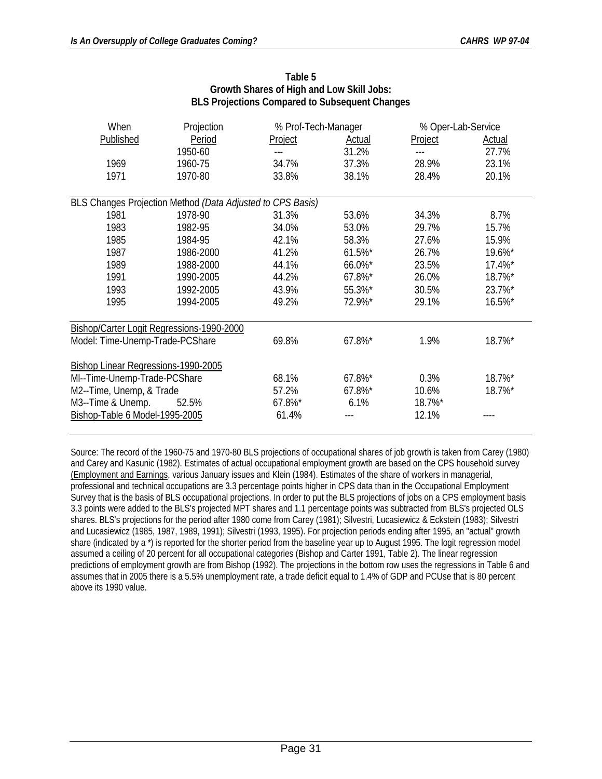| When                                | Projection                                                 | % Prof-Tech-Manager |               | % Oper-Lab-Service |               |  |
|-------------------------------------|------------------------------------------------------------|---------------------|---------------|--------------------|---------------|--|
| Published                           | Period                                                     | Project             | <b>Actual</b> | Project            | <b>Actual</b> |  |
|                                     | 1950-60                                                    |                     | 31.2%         |                    | 27.7%         |  |
| 1969                                | 1960-75                                                    | 34.7%               | 37.3%         | 28.9%              | 23.1%         |  |
| 1971                                | 1970-80                                                    | 33.8%               | 38.1%         | 28.4%              | 20.1%         |  |
|                                     | BLS Changes Projection Method (Data Adjusted to CPS Basis) |                     |               |                    |               |  |
| 1981                                | 1978-90                                                    | 31.3%               | 53.6%         | 34.3%              | 8.7%          |  |
| 1983                                | 1982-95                                                    | 34.0%               | 53.0%         | 29.7%              | 15.7%         |  |
| 1985                                | 1984-95                                                    | 42.1%               | 58.3%         | 27.6%              | 15.9%         |  |
| 1987                                | 1986-2000                                                  | 41.2%               | $61.5\%$ *    | 26.7%              | 19.6%*        |  |
| 1989                                | 1988-2000                                                  | 44.1%               | 66.0%*        | 23.5%              | 17.4%*        |  |
| 1991                                | 1990-2005                                                  | 44.2%               | 67.8%*        | 26.0%              | 18.7%*        |  |
| 1993                                | 1992-2005                                                  | 43.9%               | 55.3%*        | 30.5%              | 23.7%*        |  |
| 1995                                | 1994-2005                                                  | 49.2%               | 72.9%*        | 29.1%              | 16.5%*        |  |
|                                     | Bishop/Carter Logit Regressions-1990-2000                  |                     |               |                    |               |  |
| Model: Time-Unemp-Trade-PCShare     |                                                            | 69.8%               | 67.8%*        | 1.9%               | 18.7%*        |  |
|                                     |                                                            |                     |               |                    |               |  |
| Bishop Linear Regressions-1990-2005 |                                                            |                     |               |                    |               |  |
| MI--Time-Unemp-Trade-PCShare        |                                                            | 68.1%               | 67.8%*        | 0.3%               | 18.7%*        |  |
| M2--Time, Unemp, & Trade            |                                                            | 57.2%               | 67.8%*        | 10.6%              | 18.7%*        |  |
| M3--Time & Unemp.                   | 52.5%                                                      | 67.8%*              | 6.1%          | 18.7%*             |               |  |
| Bishop-Table 6 Model-1995-2005      |                                                            | 61.4%               |               | 12.1%              |               |  |
|                                     |                                                            |                     |               |                    |               |  |

#### **Table 5 Growth Shares of High and Low Skill Jobs: BLS Projections Compared to Subsequent Changes**

Source: The record of the 1960-75 and 1970-80 BLS projections of occupational shares of job growth is taken from Carey (1980) and Carey and Kasunic (1982). Estimates of actual occupational employment growth are based on the CPS household survey (Employment and Earnings, various January issues and Klein (1984). Estimates of the share of workers in managerial, professional and technical occupations are 3.3 percentage points higher in CPS data than in the Occupational Employment Survey that is the basis of BLS occupational projections. In order to put the BLS projections of jobs on a CPS employment basis 3.3 points were added to the BLS's projected MPT shares and 1.1 percentage points was subtracted from BLS's projected OLS shares. BLS's projections for the period after 1980 come from Carey (1981); Silvestri, Lucasiewicz & Eckstein (1983); Silvestri and Lucasiewicz (1985, 1987, 1989, 1991); Silvestri (1993, 1995). For projection periods ending after 1995, an "actual" growth share (indicated by a \*) is reported for the shorter period from the baseline year up to August 1995. The logit regression model assumed a ceiling of 20 percent for all occupational categories (Bishop and Carter 1991, Table 2). The linear regression predictions of employment growth are from Bishop (1992). The projections in the bottom row uses the regressions in Table 6 and assumes that in 2005 there is a 5.5% unemployment rate, a trade deficit equal to 1.4% of GDP and PCUse that is 80 percent above its 1990 value.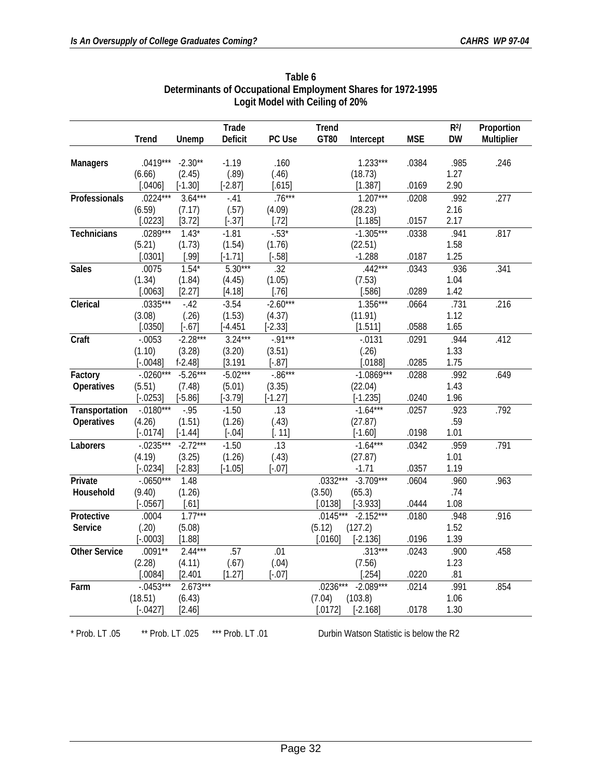|                      | <b>Trend</b>     | Unemp      | <b>Trade</b><br><b>Deficit</b> | PC Use     | <b>Trend</b><br>GT80 | Intercept                               | <b>MSE</b> | $R^2$ /<br><b>DW</b> | Proportion<br><b>Multiplier</b> |
|----------------------|------------------|------------|--------------------------------|------------|----------------------|-----------------------------------------|------------|----------------------|---------------------------------|
|                      |                  |            |                                |            |                      |                                         |            |                      |                                 |
| <b>Managers</b>      | $.0419***$       | $-2.30**$  | $-1.19$                        | .160       |                      | $1.233***$                              | .0384      | .985                 | .246                            |
|                      | (6.66)           | (2.45)     | (.89)                          | (.46)      |                      | (18.73)                                 |            | 1.27                 |                                 |
|                      | [.0406]          | $[-1.30]$  | $[-2.87]$                      | $[.615]$   |                      | [1.387]                                 | .0169      | 2.90                 |                                 |
| Professionals        | $.0224***$       | $3.64***$  | $-.41$                         | $.76***$   |                      | $1.207***$                              | .0208      | .992                 | .277                            |
|                      | (6.59)           | (7.17)     | (.57)                          | (4.09)     |                      | (28.23)                                 |            | 2.16                 |                                 |
|                      | [.0223]          | [3.72]     | $[-.37]$                       | $[.72]$    |                      | [1.185]                                 | .0157      | 2.17                 |                                 |
| <b>Technicians</b>   | $.0289***$       | $1.43*$    | $-1.81$                        | $-53*$     |                      | $-1.305***$                             | .0338      | .941                 | .817                            |
|                      | (5.21)           | (1.73)     | (1.54)                         | (1.76)     |                      | (22.51)                                 |            | 1.58                 |                                 |
|                      | [.0301]          | $[.99]$    | $[-1.71]$                      | $[-.58]$   |                      | $-1.288$                                | .0187      | 1.25                 |                                 |
| <b>Sales</b>         | .0075            | $1.54*$    | $5.30***$                      | .32        |                      | $.442***$                               | .0343      | .936                 | .341                            |
|                      | (1.34)           | (1.84)     | (4.45)                         | (1.05)     |                      | (7.53)                                  |            | 1.04                 |                                 |
|                      | [.0063]          | [2.27]     | [4.18]                         | $[.76]$    |                      | [.586]                                  | .0289      | 1.42                 |                                 |
| Clerical             | $.0335***$       | $-42$      | $-3.54$                        | $-2.60***$ |                      | $1.356***$                              | .0664      | .731                 | .216                            |
|                      | (3.08)           | (.26)      | (1.53)                         | (4.37)     |                      | (11.91)                                 |            | 1.12                 |                                 |
|                      | [.0350]          | $[-.67]$   | $[-4.451]$                     | $[-2.33]$  |                      | [1.511]                                 | .0588      | 1.65                 |                                 |
| Craft                | $-.0053$         | $-2.28***$ | $3.24***$                      | $-91***$   |                      | $-.0131$                                | .0291      | .944                 | .412                            |
|                      | (1.10)           | (3.28)     | (3.20)                         | (3.51)     |                      | (.26)                                   |            | 1.33                 |                                 |
|                      | $[-.0048]$       | $[-2.48]$  | [3.191]                        | $[-.87]$   |                      | [.0188]                                 | .0285      | 1.75                 |                                 |
| Factory              | $-0.0260***$     | $-5.26***$ | $-5.02***$                     | $-0.86***$ |                      | $-1.0869***$                            | .0288      | .992                 | .649                            |
| <b>Operatives</b>    | (5.51)           | (7.48)     | (5.01)                         | (3.35)     |                      | (22.04)                                 |            | 1.43                 |                                 |
|                      | $[-.0253]$       | $[-5.86]$  | $[-3.79]$                      | $[-1.27]$  |                      | $[-1.235]$                              | .0240      | 1.96                 |                                 |
| Transportation       | $-.0180***$      | $-0.95$    | $-1.50$                        | .13        |                      | $-1.64***$                              | .0257      | .923                 | .792                            |
| <b>Operatives</b>    | (4.26)           | (1.51)     | (1.26)                         | (.43)      |                      | (27.87)                                 |            | .59                  |                                 |
|                      | $[-.0174]$       | $[-1.44]$  | $[-.04]$                       | [. 11]     |                      | $[-1.60]$                               | .0198      | 1.01                 |                                 |
| Laborers             | $-0.0235***$     | $-2.72***$ | $-1.50$                        | .13        |                      | $-1.64***$                              | .0342      | .959                 | .791                            |
|                      | (4.19)           | (3.25)     | (1.26)                         | (.43)      |                      | (27.87)                                 |            | 1.01                 |                                 |
|                      | $[-.0234]$       | $[-2.83]$  | $[-1.05]$                      | $[-.07]$   |                      | $-1.71$                                 | .0357      | 1.19                 |                                 |
|                      | $-0.0650***$     |            |                                |            | $.0332***$           | $-3.709***$                             |            | .960                 |                                 |
| Private              |                  | 1.48       |                                |            |                      |                                         | .0604      |                      | .963                            |
| Household            | (9.40)           | (1.26)     |                                |            | (3.50)               | (65.3)                                  |            | .74                  |                                 |
|                      | $[-.0567]$       | $[.61]$    |                                |            | [.0138]              | $[-3.933]$                              | .0444      | 1.08                 |                                 |
| Protective           | .0004            | $1.77***$  |                                |            | $.0145***$           | $-2.152***$                             | .0180      | .948                 | .916                            |
| <b>Service</b>       | (.20)            | (5.08)     |                                |            | (5.12)               | (127.2)                                 |            | 1.52                 |                                 |
|                      | $[-.0003]$       | [1.88]     |                                |            | [.0160]              | $[-2.136]$                              | .0196      | 1.39                 |                                 |
| <b>Other Service</b> | $.0091**$        | $2.44***$  | .57                            | .01        |                      | $.313***$                               | .0243      | .900                 | .458                            |
|                      | (2.28)           | (4.11)     | (.67)                          | (.04)      |                      | (7.56)                                  |            | 1.23                 |                                 |
|                      | [.0084]          | [2.401]    | [1.27]                         | $[-.07]$   |                      | [.254]                                  | .0220      | .81                  |                                 |
| Farm                 | $-0.0453***$     | $2.673***$ |                                |            | $.0236***$           | $-2.089***$                             | .0214      | .991                 | .854                            |
|                      | (18.51)          | (6.43)     |                                |            | (7.04)               | (103.8)                                 |            | 1.06                 |                                 |
|                      | $[-.0427]$       | [2.46]     |                                |            | [.0172]              | $[-2.168]$                              | .0178      | 1.30                 |                                 |
| $*$ Prob. LT $.05$   | ** Prob. LT .025 |            | *** Prob. LT .01               |            |                      | Durbin Watson Statistic is below the R2 |            |                      |                                 |

| Table 6                                                      |
|--------------------------------------------------------------|
| Determinants of Occupational Employment Shares for 1972-1995 |
| Logit Model with Ceiling of 20%                              |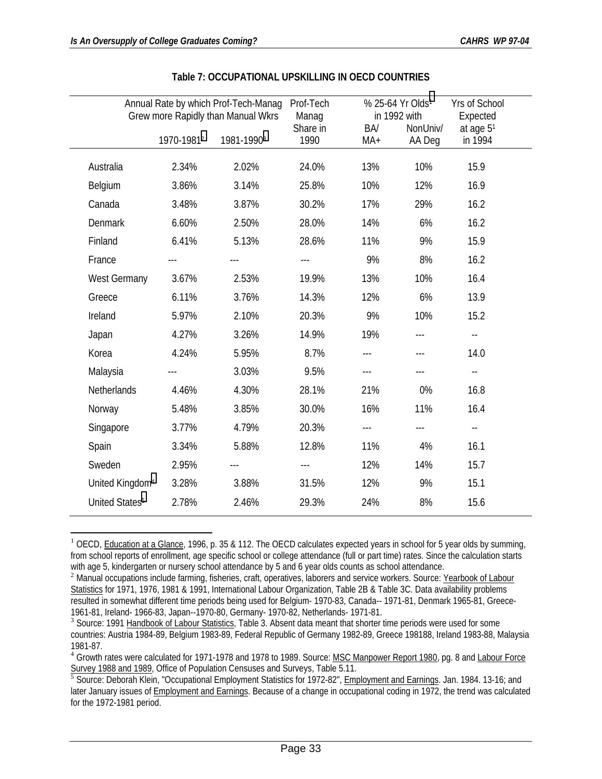| Annual Rate by which Prof-Tech-Manag Prof-Tech<br>Grew more Rapidly than Manual Wkrs |            |            | Manag            |                | % 25-64 Yr Olds <sup>1</sup><br>in 1992 with | Yrs of School<br>Expected |  |
|--------------------------------------------------------------------------------------|------------|------------|------------------|----------------|----------------------------------------------|---------------------------|--|
|                                                                                      | 1970-19812 | 1981-19903 | Share in<br>1990 | BA/<br>$MA+$   | NonUniv/<br>AA Deg                           | at age 51<br>in 1994      |  |
| Australia                                                                            | 2.34%      | 2.02%      | 24.0%            | 13%            | 10%                                          | 15.9                      |  |
| Belgium                                                                              | 3.86%      | 3.14%      | 25.8%            | 10%            | 12%                                          | 16.9                      |  |
| Canada                                                                               | 3.48%      | 3.87%      | 30.2%            | 17%            | 29%                                          | 16.2                      |  |
| <b>Denmark</b>                                                                       | 6.60%      | 2.50%      | 28.0%            | 14%            | 6%                                           | 16.2                      |  |
| Finland                                                                              | 6.41%      | 5.13%      | 28.6%            | 11%            | 9%                                           | 15.9                      |  |
| France                                                                               |            |            | $---$            | 9%             | 8%                                           | 16.2                      |  |
| <b>West Germany</b>                                                                  | 3.67%      | 2.53%      | 19.9%            | 13%            | 10%                                          | 16.4                      |  |
| Greece                                                                               | 6.11%      | 3.76%      | 14.3%            | 12%            | 6%                                           | 13.9                      |  |
| Ireland                                                                              | 5.97%      | 2.10%      | 20.3%            | 9%             | 10%                                          | 15.2                      |  |
| Japan                                                                                | 4.27%      | 3.26%      | 14.9%            | 19%            | ---                                          | $- -$                     |  |
| Korea                                                                                | 4.24%      | 5.95%      | 8.7%             | $---$          | $---$                                        | 14.0                      |  |
| Malaysia                                                                             |            | 3.03%      | 9.5%             | $---$          | ---                                          | $\overline{\phantom{a}}$  |  |
| Netherlands                                                                          | 4.46%      | 4.30%      | 28.1%            | 21%            | 0%                                           | 16.8                      |  |
| Norway                                                                               | 5.48%      | 3.85%      | 30.0%            | 16%            | 11%                                          | 16.4                      |  |
| Singapore                                                                            | 3.77%      | 4.79%      | 20.3%            | $\overline{a}$ | $---$                                        | Ξ.                        |  |
| Spain                                                                                | 3.34%      | 5.88%      | 12.8%            | 11%            | 4%                                           | 16.1                      |  |
| Sweden                                                                               | 2.95%      | ---        | $---$            | 12%            | 14%                                          | 15.7                      |  |
| United Kingdom <sup>4</sup>                                                          | 3.28%      | 3.88%      | 31.5%            | 12%            | 9%                                           | 15.1                      |  |
| United States <sup>5</sup>                                                           | 2.78%      | 2.46%      | 29.3%            | 24%            | 8%                                           | 15.6                      |  |

 $\overline{a}$  $1$  OECD, Education at a Glance, 1996, p. 35 & 112. The OECD calculates expected years in school for 5 year olds by summing, from school reports of enrollment, age specific school or college attendance (full or part time) rates. Since the calculation starts with age 5, kindergarten or nursery school attendance by 5 and 6 year olds counts as school attendance.

<sup>2</sup> Manual occupations include farming, fisheries, craft, operatives, laborers and service workers. Source: Yearbook of Labour Statistics for 1971, 1976, 1981 & 1991, International Labour Organization, Table 2B & Table 3C. Data availability problems resulted in somewhat different time periods being used for Belgium- 1970-83, Canada-- 1971-81, Denmark 1965-81, Greece-1961-81, Ireland- 1966-83, Japan--1970-80, Germany- 1970-82, Netherlands- 1971-81.

<sup>&</sup>lt;sup>3</sup> Source: 1991 Handbook of Labour Statistics, Table 3. Absent data meant that shorter time periods were used for some countries: Austria 1984-89, Belgium 1983-89, Federal Republic of Germany 1982-89, Greece 198188, Ireland 1983-88, Malaysia 1981-87.

<sup>&</sup>lt;sup>4</sup> Growth rates were calculated for 1971-1978 and 1978 to 1989. Source: MSC Manpower Report 1980, pg. 8 and Labour Force Survey 1988 and 1989, Office of Population Censuses and Surveys, Table 5.11.

<sup>&</sup>lt;sup>5</sup> Source: Deborah Klein, "Occupational Employment Statistics for 1972-82", Employment and Earnings. Jan. 1984. 13-16; and later January issues of Employment and Earnings. Because of a change in occupational coding in 1972, the trend was calculated for the 1972-1981 period.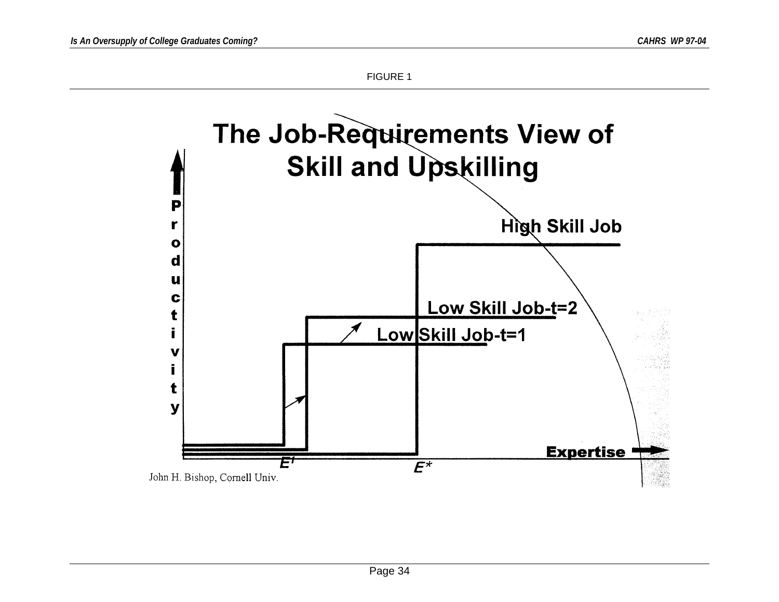FIGURE 1

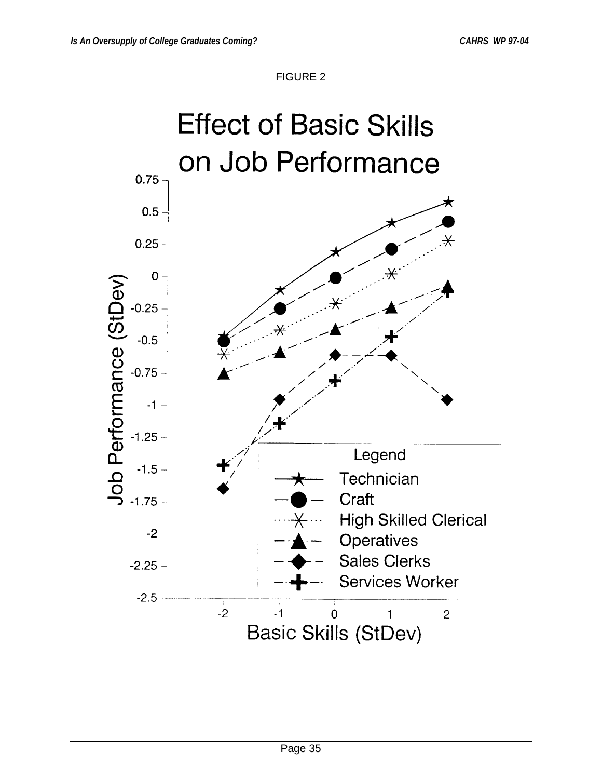#### FIGURE 2